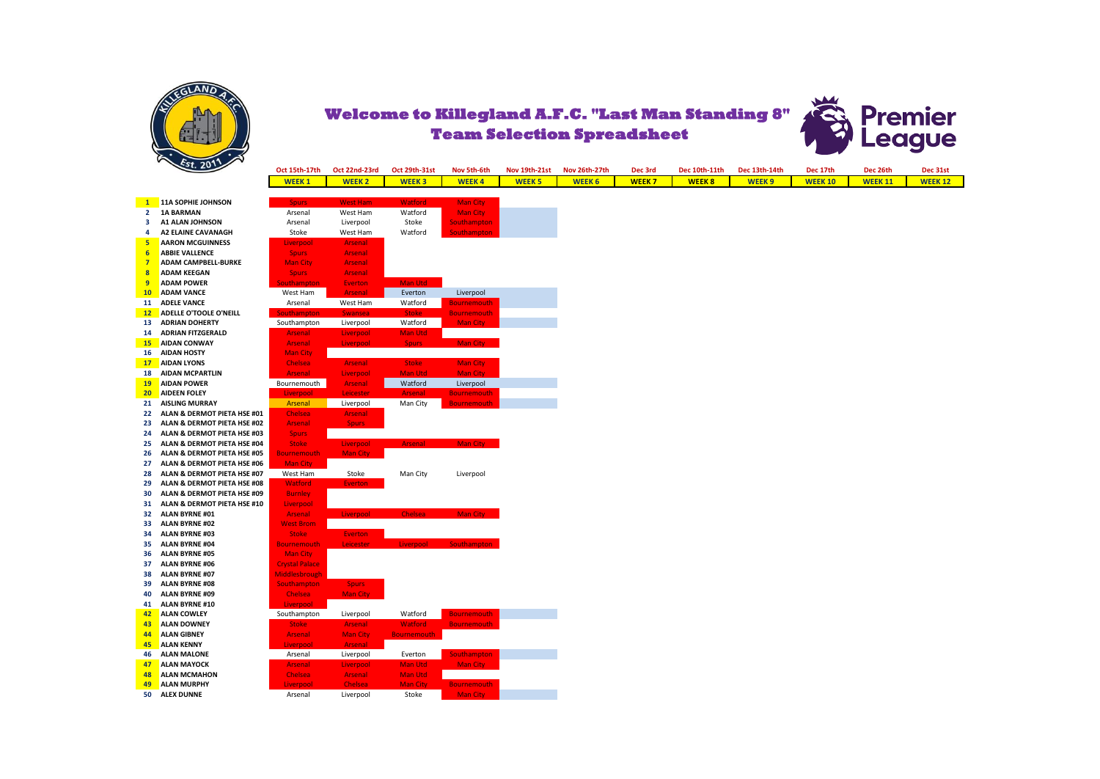

Welcome to Killegland A.F.C. "Last Man Standing 8" Premier<br>Team Selection Spreadsheet<br>League **Team Selection Spreadsheet**



| $\sim$ 49 $\sim$                           | Oct 15th-17th         | Oct 22nd-23rd   | Oct 29th-31st      | Nov 5th-6th        | <b>Nov 19th-21st</b> | Nov 26th-27th | Dec 3rd      | Dec 10th-11th | Dec 13th-14th | Dec 17th       | Dec 26th       | Dec 31st       |
|--------------------------------------------|-----------------------|-----------------|--------------------|--------------------|----------------------|---------------|--------------|---------------|---------------|----------------|----------------|----------------|
|                                            | <b>WEEK1</b>          | <b>WEEK 2</b>   | <b>WEEK3</b>       | <b>WEEK4</b>       | <b>WEEK 5</b>        | <b>WEEK 6</b> | <b>WEEK7</b> | <b>WEEK8</b>  | <b>WEEK9</b>  | <b>WEEK 10</b> | <b>WEEK 11</b> | <b>WEEK 12</b> |
|                                            |                       |                 |                    |                    |                      |               |              |               |               |                |                |                |
| 11A SOPHIE JOHNSON<br>$\mathbf{1}$         | <b>Spurs</b>          | <b>West Ham</b> | <b>Watford</b>     | <b>Man City</b>    |                      |               |              |               |               |                |                |                |
| 2 1A BARMAN                                | Arsenal               | West Ham        | Watford            | <b>Man City</b>    |                      |               |              |               |               |                |                |                |
| A1 ALAN JOHNSON<br>3                       | Arsenal               | Liverpool       | Stoke              | <b>Southampton</b> |                      |               |              |               |               |                |                |                |
| <b>A2 ELAINE CAVANAGH</b><br>4             | Stoke                 | West Ham        | Watford            | <b>Southampton</b> |                      |               |              |               |               |                |                |                |
| <b>AARON MCGUINNESS</b><br>$5\overline{ }$ | Liverpool             | Arsenal         |                    |                    |                      |               |              |               |               |                |                |                |
| <b>ABBIE VALLENCE</b><br>$6 \overline{6}$  | <b>Spurs</b>          | Arsenal         |                    |                    |                      |               |              |               |               |                |                |                |
| 7<br><b>ADAM CAMPBELL-BURKE</b>            | <b>Man City</b>       | Arsenal         |                    |                    |                      |               |              |               |               |                |                |                |
| <b>ADAM KEEGAN</b><br>$\boldsymbol{8}$     | <b>Spurs</b>          | Arsenal         |                    |                    |                      |               |              |               |               |                |                |                |
| 9<br><b>ADAM POWER</b>                     | <b>Southampton</b>    | <b>Everton</b>  | Man Utd            |                    |                      |               |              |               |               |                |                |                |
| <b>ADAM VANCE</b><br>10                    | West Ham              | Arsenal         | Everton            | Liverpool          |                      |               |              |               |               |                |                |                |
| 11 ADELE VANCE                             | Arsenal               | West Ham        | Watford            | <b>Bournemouth</b> |                      |               |              |               |               |                |                |                |
| ADELLE O'TOOLE O'NEILL<br>12               | <b>Southampton</b>    | <b>Swansea</b>  | <b>Stoke</b>       | <b>Bournemouth</b> |                      |               |              |               |               |                |                |                |
| <b>ADRIAN DOHERTY</b><br>13                | Southampton           | Liverpool       | Watford            | <b>Man City</b>    |                      |               |              |               |               |                |                |                |
| <b>ADRIAN FITZGERALD</b><br>14             | <b>Arsenal</b>        | Liverpool       | Man Utd            |                    |                      |               |              |               |               |                |                |                |
| <b>AIDAN CONWAY</b><br>15                  | <b>Arsenal</b>        | Liverpool       | <b>Spurs</b>       | Man City           |                      |               |              |               |               |                |                |                |
| <b>AIDAN HOSTY</b><br>16                   | <b>Man City</b>       |                 |                    |                    |                      |               |              |               |               |                |                |                |
| 17<br><b>AIDAN LYONS</b>                   | <b>Chelsea</b>        | Arsenal         | <b>Stoke</b>       | <b>Man City</b>    |                      |               |              |               |               |                |                |                |
| <b>AIDAN MCPARTLIN</b><br>18               | <b>Arsenal</b>        | Liverpool       | Man Utd            | <b>Man City</b>    |                      |               |              |               |               |                |                |                |
| <b>AIDAN POWER</b><br><b>19</b>            | Bournemouth           | Arsenal         | Watford            | Liverpool          |                      |               |              |               |               |                |                |                |
| 20 <sub>2</sub><br><b>AIDEEN FOLEY</b>     | Liverpool             | Leicester       | <b>Arsenal</b>     | <b>Bournemouth</b> |                      |               |              |               |               |                |                |                |
| <b>AISLING MURRAY</b><br>21                | Arsenal               | Liverpool       | Man City           | <b>Bournemouth</b> |                      |               |              |               |               |                |                |                |
| ALAN & DERMOT PIETA HSE #01<br>22          | Chelsea               | Arsenal         |                    |                    |                      |               |              |               |               |                |                |                |
| ALAN & DERMOT PIETA HSE #02<br>23          | <b>Arsenal</b>        | <b>Spurs</b>    |                    |                    |                      |               |              |               |               |                |                |                |
| ALAN & DERMOT PIETA HSE #03<br>24          | <b>Spurs</b>          |                 |                    |                    |                      |               |              |               |               |                |                |                |
| ALAN & DERMOT PIETA HSE #04<br>25          | <b>Stoke</b>          | Liverpool       | <b>Arsenal</b>     | Man City           |                      |               |              |               |               |                |                |                |
| ALAN & DERMOT PIETA HSE #05<br>26          | Bournemouth           | <b>Man City</b> |                    |                    |                      |               |              |               |               |                |                |                |
| ALAN & DERMOT PIETA HSE #06<br>27          | <b>Man City</b>       |                 |                    |                    |                      |               |              |               |               |                |                |                |
| ALAN & DERMOT PIETA HSE #07<br>28          | West Ham              | Stoke           | Man City           | Liverpool          |                      |               |              |               |               |                |                |                |
| ALAN & DERMOT PIETA HSE #08<br>29          | <b>Watford</b>        | <b>Everton</b>  |                    |                    |                      |               |              |               |               |                |                |                |
| ALAN & DERMOT PIETA HSE #09<br>30          | <b>Burnley</b>        |                 |                    |                    |                      |               |              |               |               |                |                |                |
| ALAN & DERMOT PIETA HSE #10<br>31          | Liverpool             |                 |                    |                    |                      |               |              |               |               |                |                |                |
| <b>ALAN BYRNE #01</b><br>32                | <b>Arsenal</b>        | Liverpool       | <b>Chelsea</b>     | Man City           |                      |               |              |               |               |                |                |                |
| <b>ALAN BYRNE #02</b><br>33                | <b>West Brom</b>      |                 |                    |                    |                      |               |              |               |               |                |                |                |
| <b>ALAN BYRNE #03</b><br>34                | <b>Stoke</b>          | <b>Everton</b>  |                    |                    |                      |               |              |               |               |                |                |                |
| <b>ALAN BYRNE #04</b><br>35                | <b>Bournemouth</b>    | Leicester       | Liverpool          | Southampton        |                      |               |              |               |               |                |                |                |
| <b>ALAN BYRNE #05</b><br>36                | <b>Man City</b>       |                 |                    |                    |                      |               |              |               |               |                |                |                |
| <b>ALAN BYRNE #06</b><br>37                | <b>Crystal Palace</b> |                 |                    |                    |                      |               |              |               |               |                |                |                |
| <b>ALAN BYRNE #07</b><br>38                | Middlesbrough         |                 |                    |                    |                      |               |              |               |               |                |                |                |
| <b>ALAN BYRNE #08</b><br>39                | Southampton           | <b>Spurs</b>    |                    |                    |                      |               |              |               |               |                |                |                |
| <b>ALAN BYRNE #09</b><br>40                | Chelsea               | <b>Man City</b> |                    |                    |                      |               |              |               |               |                |                |                |
| 41<br><b>ALAN BYRNE #10</b>                | Liverpool             |                 |                    |                    |                      |               |              |               |               |                |                |                |
| <b>ALAN COWLEY</b><br>42                   | Southampton           | Liverpool       | Watford            | <b>Bournemouth</b> |                      |               |              |               |               |                |                |                |
| 43<br><b>ALAN DOWNEY</b>                   | <b>Stoke</b>          | Arsenal         | <b>Watford</b>     | <b>Bournemouth</b> |                      |               |              |               |               |                |                |                |
| 44<br><b>ALAN GIBNEY</b>                   | <b>Arsenal</b>        | <b>Man City</b> | <b>Bournemouth</b> |                    |                      |               |              |               |               |                |                |                |
| 45<br><b>ALAN KENNY</b>                    | Liverpool             | Arsenal         |                    |                    |                      |               |              |               |               |                |                |                |
| <b>ALAN MALONE</b><br>46                   | Arsenal               | Liverpool       | Everton            | <b>Southampton</b> |                      |               |              |               |               |                |                |                |
| <b>ALAN MAYOCK</b>                         | <b>Arsenal</b>        | Liverpool       | Man Utd            | Man City           |                      |               |              |               |               |                |                |                |
| 47<br><b>ALAN MCMAHON</b><br>48            | Chelsea               | Arsenal         | Man Utd            |                    |                      |               |              |               |               |                |                |                |
| <b>ALAN MURPHY</b><br>49                   | Liverpool             | <b>Chelsea</b>  | <b>Man City</b>    |                    |                      |               |              |               |               |                |                |                |
| 50 ALEX DUNNE                              |                       |                 |                    | <b>Bournemouth</b> |                      |               |              |               |               |                |                |                |
|                                            | Arsenal               | Liverpool       | Stoke              | Man City           |                      |               |              |               |               |                |                |                |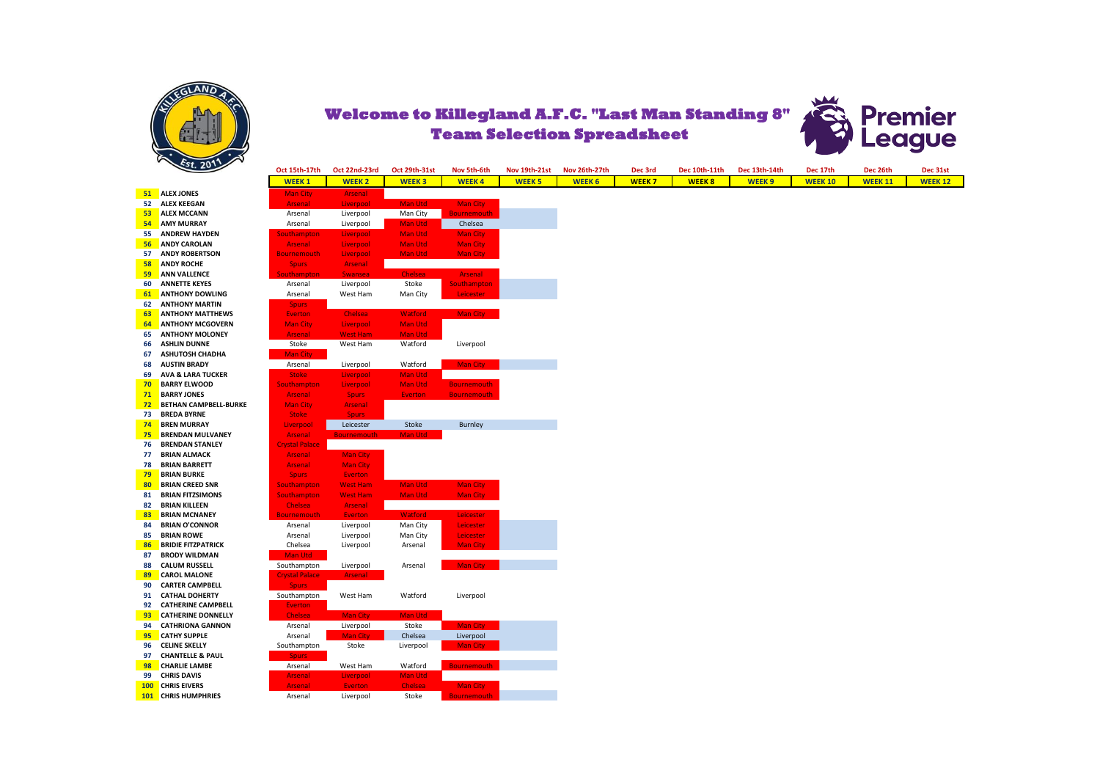



|    | $\mathcal{E}$ st. 2011       | Oct 15th-17th         | Oct 22nd-23rd      | Oct 29th-31st  | Nov 5th-6th        | <b>Nov 19th-21st</b> | Nov 26th-27th | Dec 3rd      | Dec 10th-11th | Dec 13th-14th     | Dec 17th       | Dec 26th       |
|----|------------------------------|-----------------------|--------------------|----------------|--------------------|----------------------|---------------|--------------|---------------|-------------------|----------------|----------------|
|    |                              | <b>WEEK1</b>          | <b>WEEK2</b>       | <b>WEEK3</b>   | <b>WEEK4</b>       | <b>WEEK 5</b>        | <b>WEEK 6</b> | <b>WEEK7</b> | <b>WEEK8</b>  | WEEK <sub>9</sub> | <b>WEEK 10</b> | <b>WEEK 11</b> |
|    |                              |                       |                    |                |                    |                      |               |              |               |                   |                |                |
|    | 51 ALEX JONES                | <b>Man City</b>       | Arsenal            |                |                    |                      |               |              |               |                   |                |                |
|    | 52 ALEX KEEGAN               | Arsenal               | Liverpool          | Man Utd        | <b>Man City</b>    |                      |               |              |               |                   |                |                |
| 53 | <b>ALEX MCCANN</b>           | Arsenal               | Liverpool          | Man City       | <b>Bournemouth</b> |                      |               |              |               |                   |                |                |
| 54 | <b>AMY MURRAY</b>            | Arsenal               | Liverpool          | Man Utd        | Chelsea            |                      |               |              |               |                   |                |                |
| 55 | <b>ANDREW HAYDEN</b>         | <b>Southampton</b>    | Liverpool          | <b>Man Utd</b> | <b>Man City</b>    |                      |               |              |               |                   |                |                |
| 56 | <b>ANDY CAROLAN</b>          | Arsenal               | Liverpool          | <b>Man Utd</b> | <b>Man City</b>    |                      |               |              |               |                   |                |                |
| 57 | <b>ANDY ROBERTSON</b>        | <b>Bournemouth</b>    | Liverpool          | Man Utd        | <b>Man City</b>    |                      |               |              |               |                   |                |                |
| 58 | <b>ANDY ROCHE</b>            | <b>Spurs</b>          | <b>Arsenal</b>     |                |                    |                      |               |              |               |                   |                |                |
| 59 | <b>ANN VALLENCE</b>          | Southampton           | <b>Swansea</b>     | <b>Chelsea</b> | Arsenal            |                      |               |              |               |                   |                |                |
| 60 | <b>ANNETTE KEYES</b>         | Arsenal               | Liverpool          | Stoke          | <b>Southampton</b> |                      |               |              |               |                   |                |                |
| 61 | <b>ANTHONY DOWLING</b>       | Arsenal               | West Ham           | Man City       | <b>Leicester</b>   |                      |               |              |               |                   |                |                |
| 62 | <b>ANTHONY MARTIN</b>        | <b>Spurs</b>          |                    |                |                    |                      |               |              |               |                   |                |                |
| 63 | <b>ANTHONY MATTHEWS</b>      | <b>Everton</b>        | <b>Chelsea</b>     | <b>Watford</b> | Man City           |                      |               |              |               |                   |                |                |
| 64 | <b>ANTHONY MCGOVERN</b>      | <b>Man City</b>       | Liverpool          | <b>Man Utd</b> |                    |                      |               |              |               |                   |                |                |
| 65 | <b>ANTHONY MOLONEY</b>       | <b>Arsenal</b>        | <b>West Ham</b>    | Man Utd        |                    |                      |               |              |               |                   |                |                |
| 66 | <b>ASHLIN DUNNE</b>          | Stoke                 | West Ham           | Watford        | Liverpool          |                      |               |              |               |                   |                |                |
| 67 | <b>ASHUTOSH CHADHA</b>       | Man City              |                    |                |                    |                      |               |              |               |                   |                |                |
| 68 | <b>AUSTIN BRADY</b>          | Arsenal               | Liverpool          | Watford        | Man City           |                      |               |              |               |                   |                |                |
| 69 | <b>AVA &amp; LARA TUCKER</b> | <b>Stoke</b>          | Liverpool          | <b>Man Utd</b> |                    |                      |               |              |               |                   |                |                |
| 70 | <b>BARRY ELWOOD</b>          | <b>Southampton</b>    | Liverpool          | <b>Man Utd</b> | <b>Bournemouth</b> |                      |               |              |               |                   |                |                |
| 71 | <b>BARRY JONES</b>           | <b>Arsenal</b>        | <b>Spurs</b>       | <b>Everton</b> | <b>Bournemouth</b> |                      |               |              |               |                   |                |                |
| 72 | <b>BETHAN CAMPBELL-BURKE</b> | <b>Man City</b>       | Arsenal            |                |                    |                      |               |              |               |                   |                |                |
| 73 | <b>BREDA BYRNE</b>           | <b>Stoke</b>          | <b>Spurs</b>       |                |                    |                      |               |              |               |                   |                |                |
| 74 | <b>BREN MURRAY</b>           | Liverpool             | Leicester          | Stoke          | <b>Burnley</b>     |                      |               |              |               |                   |                |                |
| 75 | <b>BRENDAN MULVANEY</b>      | <b>Arsenal</b>        | <b>Bournemouth</b> | Man Utd        |                    |                      |               |              |               |                   |                |                |
| 76 | <b>BRENDAN STANLEY</b>       | <b>Crystal Palace</b> |                    |                |                    |                      |               |              |               |                   |                |                |
| 77 | <b>BRIAN ALMACK</b>          | Arsenal               | <b>Man City</b>    |                |                    |                      |               |              |               |                   |                |                |
|    |                              |                       |                    |                |                    |                      |               |              |               |                   |                |                |
| 78 | <b>BRIAN BARRETT</b>         | <b>Arsenal</b>        | <b>Man City</b>    |                |                    |                      |               |              |               |                   |                |                |
| 79 | <b>BRIAN BURKE</b>           | <b>Spurs</b>          | <b>Everton</b>     |                |                    |                      |               |              |               |                   |                |                |
| 80 | <b>BRIAN CREED SNR</b>       | Southampton           | <b>West Ham</b>    | Man Utd        | <b>Man City</b>    |                      |               |              |               |                   |                |                |
| 81 | <b>BRIAN FITZSIMONS</b>      | <b>Southampton</b>    | <b>West Ham</b>    | Man Utd        | <b>Man City</b>    |                      |               |              |               |                   |                |                |
| 82 | <b>BRIAN KILLEEN</b>         | Chelsea               | Arsenal            |                |                    |                      |               |              |               |                   |                |                |
| 83 | <b>BRIAN MCNANEY</b>         | <b>Bournemouth</b>    | <b>Everton</b>     | <b>Watford</b> | <b>Leicester</b>   |                      |               |              |               |                   |                |                |
| 84 | <b>BRIAN O'CONNOR</b>        | Arsenal               | Liverpool          | Man City       | Leicester          |                      |               |              |               |                   |                |                |
| 85 | <b>BRIAN ROWE</b>            | Arsenal               | Liverpool          | Man City       | Leicester          |                      |               |              |               |                   |                |                |
| 86 | <b>BRIDIE FITZPATRICK</b>    | Chelsea               | Liverpool          | Arsenal        | <b>Man City</b>    |                      |               |              |               |                   |                |                |
| 87 | <b>BRODY WILDMAN</b>         | Man Utd               |                    |                |                    |                      |               |              |               |                   |                |                |
| 88 | <b>CALUM RUSSELL</b>         | Southampton           | Liverpool          | Arsenal        | Man City           |                      |               |              |               |                   |                |                |
| 89 | <b>CAROL MALONE</b>          | <b>Crystal Palace</b> | Arsenal            |                |                    |                      |               |              |               |                   |                |                |
| 90 | <b>CARTER CAMPBELL</b>       | <b>Spurs</b>          |                    |                |                    |                      |               |              |               |                   |                |                |
| 91 | <b>CATHAL DOHERTY</b>        | Southampton           | West Ham           | Watford        | Liverpool          |                      |               |              |               |                   |                |                |
| 92 | <b>CATHERINE CAMPBELL</b>    | <b>Everton</b>        |                    |                |                    |                      |               |              |               |                   |                |                |
| 93 | <b>CATHERINE DONNELLY</b>    | <b>Chelsea</b>        | <b>Man City</b>    | Man Utd        |                    |                      |               |              |               |                   |                |                |
| 94 | <b>CATHRIONA GANNON</b>      | Arsenal               | Liverpool          | Stoke          | Man City           |                      |               |              |               |                   |                |                |
| 95 | <b>CATHY SUPPLE</b>          | Arsenal               | <b>Man City</b>    | Chelsea        | Liverpool          |                      |               |              |               |                   |                |                |
|    | <b>CELINE SKELLY</b>         |                       | Stoke              |                | <b>Man City</b>    |                      |               |              |               |                   |                |                |
| 96 |                              | Southampton           |                    | Liverpool      |                    |                      |               |              |               |                   |                |                |
| 97 | <b>CHANTELLE &amp; PAUL</b>  | <b>Spurs</b>          |                    |                |                    |                      |               |              |               |                   |                |                |
| 98 | <b>CHARLIE LAMBE</b>         | Arsenal               | West Ham           | Watford        | <b>Bournemouth</b> |                      |               |              |               |                   |                |                |
| 99 | <b>CHRIS DAVIS</b>           | <b>Arsenal</b>        | Liverpool          | Man Utd        |                    |                      |               |              |               |                   |                |                |
|    | 100 CHRIS EIVERS             | <b>Arsenal</b>        | <b>Everton</b>     | Chelsea        | Man City           |                      |               |              |               |                   |                |                |
|    | 101 CHRIS HUMPHRIES          | Arsenal               | Liverpool          | Stoke          | <b>Bournemouth</b> |                      |               |              |               |                   |                |                |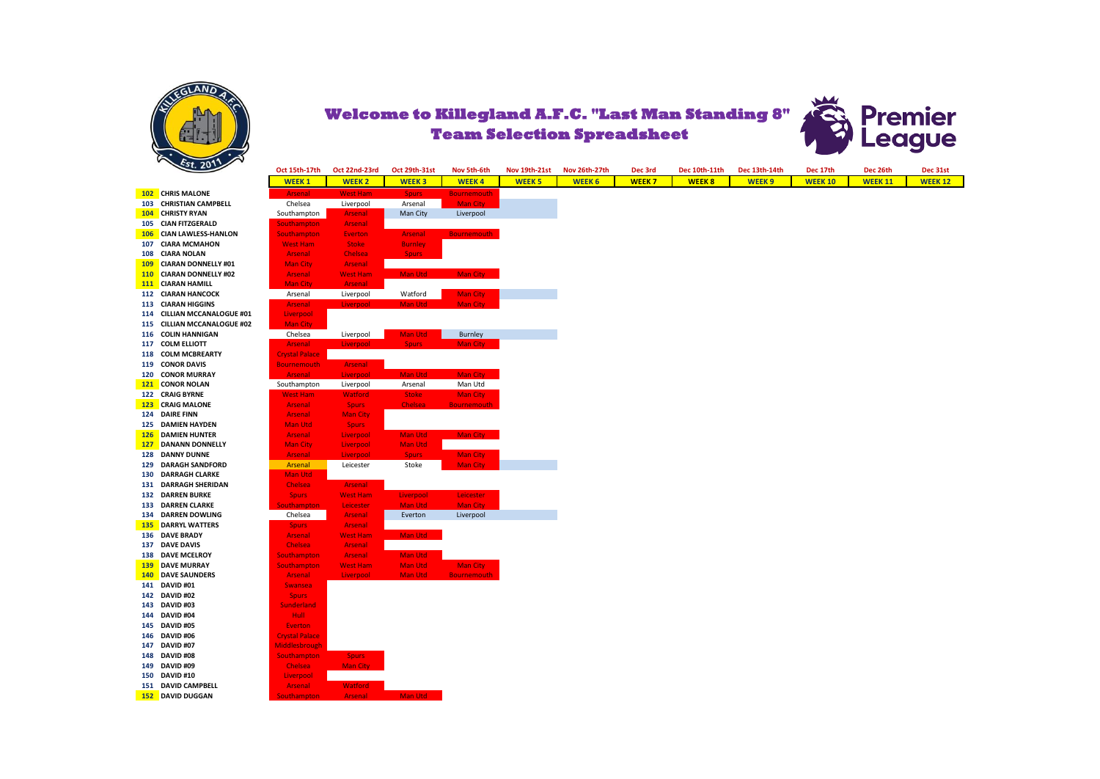



**102 CHRIS MALONE 103 CHRISTIAN CAMPBELL 104 CHRISTY RYAN 105 CIAN FITZGERALD 106 CIAN LAWLESS-HANLON 107 CIARA MCMAHON 108 CIARA NOLAN 109 CIARAN DONNELLY #01 110 CIARAN DONNELLY #02 111 CIARAN HAMILL 112 CIARAN HANCOCK 113 CIARAN HIGGINS 114 CILLIAN MCCANALOGUE #01 115 CILLIAN MCCANALOGUE #02 116 COLIN HANNIGAN 117 COLM ELLIOTT 118 COLM MCBREARTY 119 CONOR DAVIS 120 CONOR MURRAY 121 CONOR NOLAN 122 CRAIG BYRNE 123 CRAIG MALONE 124 DAIRE FINN 125 DAMIEN HAYDEN 126 DAMIEN HUNTER 127 DANANN DONNELLY 128 DANNY DUNNE 129 DARAGH SANDFORD 130 DARRAGH CLARKE 131 DARRAGH SHERIDAN 132 DARREN BURKE 133 DARREN CLARKE 134 DARREN DOWLING 135 DARRYL WATTERS 136 DAVE BRADY 137 DAVE DAVIS 138 DAVE MCELROY 139 DAVE MURRAY 140 DAVE SAUNDERS 141 DAVID #01 142 DAVID #02 143 DAVID #03 144 DAVID #04 145 DAVID #05 146 DAVID #06 147 DAVID #07 148 DAVID #08 149 DAVID #09 150 DAVID #10 151 DAVID CAMPBELL 152 DAVID DUGGAN** 

| Oct 15th-17th         | Oct 22nd-23rd               | Oct 29th-31st  | Nov 5th-6th        | Nov 19th-21st | Nov 26th-27th | Dec 3rd      | Dec 10th-11th | Dec 13th-14th     | Dec 17th       | Dec 26th       | Dec 31st       |
|-----------------------|-----------------------------|----------------|--------------------|---------------|---------------|--------------|---------------|-------------------|----------------|----------------|----------------|
| <b>WEEK1</b>          | <b>WEEK 2</b>               | <b>WEEK3</b>   | <b>WEEK4</b>       | <b>WEEK 5</b> | <b>WEEK 6</b> | <b>WEEK7</b> | <b>WEEK 8</b> | WEEK <sub>9</sub> | <b>WEEK 10</b> | <b>WEEK 11</b> | <b>WEEK 12</b> |
| <b>Arsenal</b>        | <b>West Ham</b>             | <b>Spurs</b>   | <b>Bournemouth</b> |               |               |              |               |                   |                |                |                |
| Chelsea               | Liverpool                   | Arsenal        | <b>Man City</b>    |               |               |              |               |                   |                |                |                |
| Southampton           | <b>Arsenal</b>              | Man City       | Liverpool          |               |               |              |               |                   |                |                |                |
| <b>Southampton</b>    | <b>Arsenal</b>              |                |                    |               |               |              |               |                   |                |                |                |
| <b>Southampton</b>    | Everton                     | <b>Arsenal</b> | <b>Bournemouth</b> |               |               |              |               |                   |                |                |                |
| <b>West Ham</b>       | <b>Stoke</b>                | <b>Burnley</b> |                    |               |               |              |               |                   |                |                |                |
| Arsenal               | Chelsea                     | Spurs:         |                    |               |               |              |               |                   |                |                |                |
| <b>Man City</b>       | Arsenal                     |                |                    |               |               |              |               |                   |                |                |                |
| Arsenal               | <b>West Ham</b>             | Man Utd        | Man City           |               |               |              |               |                   |                |                |                |
| <b>Man City</b>       | <b>Arsenal</b>              |                |                    |               |               |              |               |                   |                |                |                |
| Arsenal               | Liverpool                   | Watford        | <b>Man City</b>    |               |               |              |               |                   |                |                |                |
| Arsenal               | Liverpool                   | Man Utd        | <b>Man City</b>    |               |               |              |               |                   |                |                |                |
| Liverpool             |                             |                |                    |               |               |              |               |                   |                |                |                |
| <b>Man City</b>       |                             |                |                    |               |               |              |               |                   |                |                |                |
| Chelsea               | Liverpool                   | Man Utd        | <b>Burnley</b>     |               |               |              |               |                   |                |                |                |
| Arsenal               | Liverpool                   | <b>Spurs</b>   | <b>Man City</b>    |               |               |              |               |                   |                |                |                |
| <b>Crystal Palace</b> |                             |                |                    |               |               |              |               |                   |                |                |                |
| <b>Bournemouth</b>    | <b>Arsenal</b>              |                |                    |               |               |              |               |                   |                |                |                |
| Arsenal               | Liverpool                   | Man Utd        | <b>Man City</b>    |               |               |              |               |                   |                |                |                |
| Southampton           |                             | Arsenal        | Man Utd            |               |               |              |               |                   |                |                |                |
| <b>West Ham</b>       | Liverpool<br><b>Watford</b> | <b>Stoke</b>   | <b>Man City</b>    |               |               |              |               |                   |                |                |                |
|                       |                             | Chelsea        | <b>Bournemouth</b> |               |               |              |               |                   |                |                |                |
| <b>Arsenal</b>        | <b>Spurs</b>                |                |                    |               |               |              |               |                   |                |                |                |
| <b>Arsenal</b>        | <b>Man City</b>             |                |                    |               |               |              |               |                   |                |                |                |
| Man Utd               | <b>Spurs</b>                |                |                    |               |               |              |               |                   |                |                |                |
| Arsenal               | Liverpool                   | Man Utd        | Man City           |               |               |              |               |                   |                |                |                |
| <b>Man City</b>       | Liverpool                   | <b>Man Utd</b> |                    |               |               |              |               |                   |                |                |                |
| Arsenal               | Liverpool                   | <b>Spurs</b>   | <b>Man City</b>    |               |               |              |               |                   |                |                |                |
| Arsenal               | Leicester                   | Stoke          | <b>Man City</b>    |               |               |              |               |                   |                |                |                |
| <b>Man Utd</b>        |                             |                |                    |               |               |              |               |                   |                |                |                |
| Chelsea               | <b>Arsenal</b>              |                |                    |               |               |              |               |                   |                |                |                |
| <b>Spurs</b>          | <b>West Ham</b>             | Liverpool      | Leicester          |               |               |              |               |                   |                |                |                |
| <b>Southampton</b>    | Leicester                   | <b>Man Utd</b> | <b>Man City</b>    |               |               |              |               |                   |                |                |                |
| Chelsea               | <b>Arsenal</b>              | Everton        | Liverpool          |               |               |              |               |                   |                |                |                |
| <b>Spurs</b>          | <b>Arsenal</b>              |                |                    |               |               |              |               |                   |                |                |                |
| <b>Arsenal</b>        | <b>West Ham</b>             | Man Utd        |                    |               |               |              |               |                   |                |                |                |
| Chelsea               | Arsenal                     |                |                    |               |               |              |               |                   |                |                |                |
| Southampton           | Arsenal                     | Man Utd        |                    |               |               |              |               |                   |                |                |                |
| <b>Southampton</b>    | <b>West Ham</b>             | <b>Man Utd</b> | <b>Man City</b>    |               |               |              |               |                   |                |                |                |
| <b>Arsenal</b>        | Liverpool                   | Man Utd        | <b>Bournemouth</b> |               |               |              |               |                   |                |                |                |
| <b>Swansea</b>        |                             |                |                    |               |               |              |               |                   |                |                |                |
| <b>Spurs</b>          |                             |                |                    |               |               |              |               |                   |                |                |                |
| <b>Sunderland</b>     |                             |                |                    |               |               |              |               |                   |                |                |                |
| <b>Hull</b>           |                             |                |                    |               |               |              |               |                   |                |                |                |
| <b>Everton</b>        |                             |                |                    |               |               |              |               |                   |                |                |                |
| <b>Crystal Palace</b> |                             |                |                    |               |               |              |               |                   |                |                |                |
| Middlesbrough         |                             |                |                    |               |               |              |               |                   |                |                |                |
| Southampton           | <b>Spurs</b>                |                |                    |               |               |              |               |                   |                |                |                |
| Chelsea               | <b>Man City</b>             |                |                    |               |               |              |               |                   |                |                |                |
| Liverpool             |                             |                |                    |               |               |              |               |                   |                |                |                |
| <b>Arsenal</b>        | <b>Watford</b>              |                |                    |               |               |              |               |                   |                |                |                |
| <b>Southampton</b>    | <b>Arsenal</b>              | Man Utd        |                    |               |               |              |               |                   |                |                |                |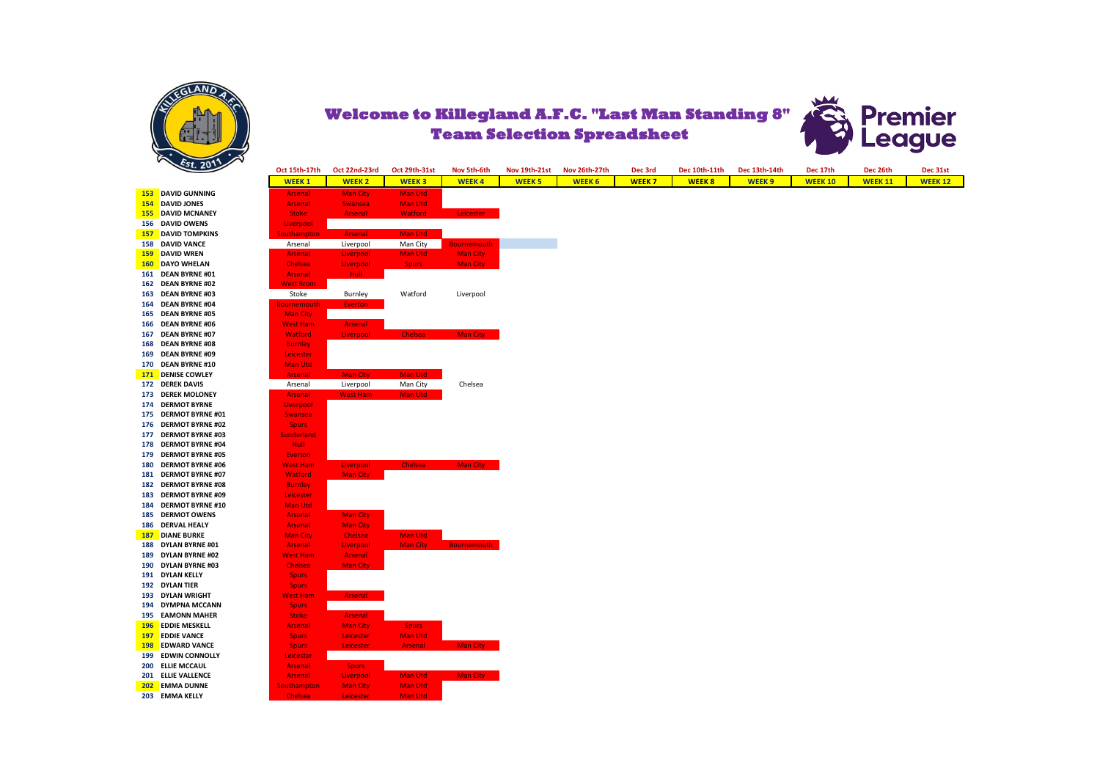



**153 DAVID GUNNING 154 DAVID JONES 155 DAVID MCNANEY 156 DAVID OWENS 157 DAVID TOMPKINS 158 DAVID VANCE 159 DAVID WREN 160 DAYO WHELAN 161 DEAN BYRNE #01 162 DEAN BYRNE #02 163 DEAN BYRNE #03 164 DEAN BYRNE #04 165 DEAN BYRNE #05 166 DEAN BYRNE #06 167 DEAN BYRNE #07 168 DEAN BYRNE #08 169 DEAN BYRNE #09 170 DEAN BYRNE #10 171 DENISE COWLEY 172 DEREK DAVIS 173 DEREK MOLONEY 174 DERMOT BYRNE 175 DERMOT BYRNE #01 176 DERMOT BYRNE #02 177 DERMOT BYRNE #03 178 DERMOT BYRNE #04 179 DERMOT BYRNE #05 180 DERMOT BYRNE #06 181 DERMOT BYRNE #07 182 DERMOT BYRNE #08 183 DERMOT BYRNE #09 184 DERMOT BYRNE #10 185 DERMOT OWENS 186 DERVAL HEALY 187 DIANE BURKE 188 DYLAN BYRNE #01 189 DYLAN BYRNE #02 190 DYLAN BYRNE #03 191 DYLAN KELLY 192 DYLAN TIER 193 DYLAN WRIGHT 194 DYMPNA MCCANN 195 EAMONN MAHER 196 EDDIE MESKELL 197 EDDIE VANCE 198 EDWARD VANCE 199 EDWIN CONNOLLY 200 ELLIE MCCAUL 201 ELLIE VALLENCE 202 EMMA DUNNE 203 EMMA KELLY** 

| Oct 15th-17th                    | Oct 22nd-23rd   | <b>Oct 29th-31st</b> | Nov 5th-6th        | <b>Nov 19th-21st</b> | Nov 26th-27th | Dec 3rd      | Dec 10th-11th | Dec 13th-14th     | Dec 17th       | Dec 26th       | Dec 31st      |
|----------------------------------|-----------------|----------------------|--------------------|----------------------|---------------|--------------|---------------|-------------------|----------------|----------------|---------------|
| <b>WEEK1</b>                     | <b>WEEK2</b>    | <b>WEEK3</b>         | <b>WEEK4</b>       | <b>WEEK 5</b>        | <b>WEEK 6</b> | <b>WEEK7</b> | <b>WEEK8</b>  | WEEK <sub>9</sub> | <b>WEEK 10</b> | <b>WEEK 11</b> | <b>WEEK12</b> |
| <b>Arsenal</b>                   | Man City        | Man Utd              |                    |                      |               |              |               |                   |                |                |               |
| <b>Arsenal</b>                   | Swansea         | Man Utd              |                    |                      |               |              |               |                   |                |                |               |
| <b>Stoke</b>                     | Arsenal         | <b>Watford</b>       | Leicester          |                      |               |              |               |                   |                |                |               |
| Liverpool                        |                 |                      |                    |                      |               |              |               |                   |                |                |               |
| <b>Southampton</b>               | <b>Arsenal</b>  | Man Utd              |                    |                      |               |              |               |                   |                |                |               |
| Arsenal                          | Liverpool       | Man City             | <b>Bournemouth</b> |                      |               |              |               |                   |                |                |               |
| <b>Arsenal</b>                   | Liverpool       | Man Utd              | Man City           |                      |               |              |               |                   |                |                |               |
| Chelsea                          | Liverpool       | <b>Spurs</b>         | <b>Man City</b>    |                      |               |              |               |                   |                |                |               |
| <b>Arsenal</b>                   | Hull            |                      |                    |                      |               |              |               |                   |                |                |               |
| <b>West Brom</b>                 |                 |                      |                    |                      |               |              |               |                   |                |                |               |
| Stoke                            | Burnley         | Watford              | Liverpool          |                      |               |              |               |                   |                |                |               |
| <b>Bournemouth</b>               | Everton         |                      |                    |                      |               |              |               |                   |                |                |               |
| Man City                         |                 |                      |                    |                      |               |              |               |                   |                |                |               |
| <b>West Ham</b>                  | Arsenal         |                      |                    |                      |               |              |               |                   |                |                |               |
| <b>Watford</b>                   | Liverpool       | <b>Chelsea</b>       | Man City           |                      |               |              |               |                   |                |                |               |
| <b>Burnley</b>                   |                 |                      |                    |                      |               |              |               |                   |                |                |               |
| Leicester                        |                 |                      |                    |                      |               |              |               |                   |                |                |               |
| Man Utd                          |                 |                      |                    |                      |               |              |               |                   |                |                |               |
| <b>Arsenal</b>                   | <b>Man City</b> | Man Utd              |                    |                      |               |              |               |                   |                |                |               |
| Arsenal                          | Liverpool       | Man City             | Chelsea            |                      |               |              |               |                   |                |                |               |
| <b>Arsenal</b>                   | West Ham        | Man Utd              |                    |                      |               |              |               |                   |                |                |               |
| Liverpool                        |                 |                      |                    |                      |               |              |               |                   |                |                |               |
| Swansea                          |                 |                      |                    |                      |               |              |               |                   |                |                |               |
| <b>Spurs</b>                     |                 |                      |                    |                      |               |              |               |                   |                |                |               |
| <b>Sunderland</b><br><b>Hull</b> |                 |                      |                    |                      |               |              |               |                   |                |                |               |
| Everton                          |                 |                      |                    |                      |               |              |               |                   |                |                |               |
| <b>West Ham</b>                  | Liverpool       | Chelsea              | Man City           |                      |               |              |               |                   |                |                |               |
| Watford                          | Man City        |                      |                    |                      |               |              |               |                   |                |                |               |
| <b>Burnley</b>                   |                 |                      |                    |                      |               |              |               |                   |                |                |               |
| Leicester                        |                 |                      |                    |                      |               |              |               |                   |                |                |               |
| Man Utd                          |                 |                      |                    |                      |               |              |               |                   |                |                |               |
| <b>Arsenal</b>                   | Man City        |                      |                    |                      |               |              |               |                   |                |                |               |
| <b>Arsenal</b>                   | <b>Man City</b> |                      |                    |                      |               |              |               |                   |                |                |               |
| <b>Man City</b>                  | Chelsea         | Man Utd              |                    |                      |               |              |               |                   |                |                |               |
| <b>Arsenal</b>                   | Liverpool       | Man City             | <b>Bournemouth</b> |                      |               |              |               |                   |                |                |               |
| <b>West Ham</b>                  | Arsenal         |                      |                    |                      |               |              |               |                   |                |                |               |
| Chelsea                          | <b>Man City</b> |                      |                    |                      |               |              |               |                   |                |                |               |
| <b>Spurs</b>                     |                 |                      |                    |                      |               |              |               |                   |                |                |               |
| <b>Spurs</b>                     |                 |                      |                    |                      |               |              |               |                   |                |                |               |
| <b>West Ham</b>                  | Arsenal         |                      |                    |                      |               |              |               |                   |                |                |               |
| <b>Spurs</b>                     |                 |                      |                    |                      |               |              |               |                   |                |                |               |
| <b>Stoke</b>                     | Arsenal         |                      |                    |                      |               |              |               |                   |                |                |               |
| <b>Arsenal</b>                   | <b>Man City</b> | <b>Spurs</b>         |                    |                      |               |              |               |                   |                |                |               |
| <b>Spurs</b>                     | Leicester       | Man Utd              |                    |                      |               |              |               |                   |                |                |               |
| <b>Spurs</b>                     | Leicester       | Arsenal              | Man City           |                      |               |              |               |                   |                |                |               |
| Leicester                        |                 |                      |                    |                      |               |              |               |                   |                |                |               |
| Arsenal                          | <b>Spurs</b>    |                      |                    |                      |               |              |               |                   |                |                |               |
| Arsenal                          | Liverpool       | Man Utd              | Man City           |                      |               |              |               |                   |                |                |               |
| <b>Southampton</b>               | <b>Man City</b> | Man Utd              |                    |                      |               |              |               |                   |                |                |               |
| <b>Chelsea</b>                   | Leicester       | Man Utd              |                    |                      |               |              |               |                   |                |                |               |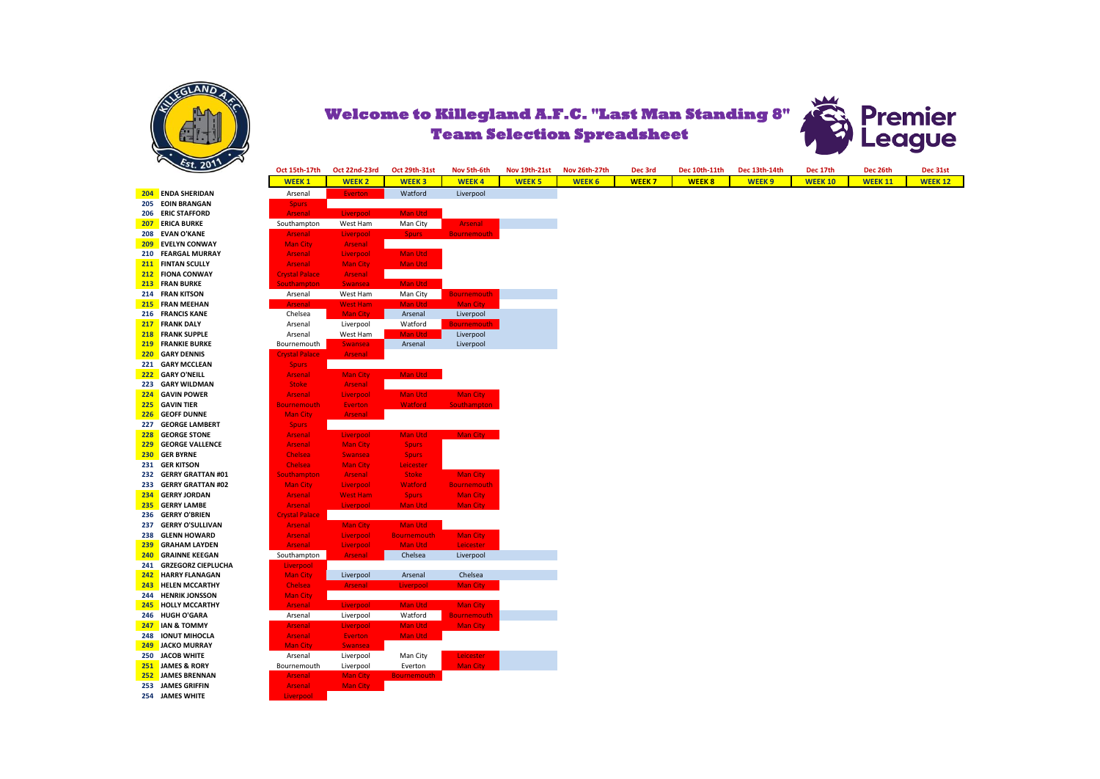



**204 ENDA SHERIDAN 205 EOIN BRANGAN 206 ERIC STAFFORD 207 ERICA BURKE 208 EVAN O'KANE 209 EVELYN CONWAY 210 FEARGAL MURRAY 211 FINTAN SCULLY 212 FIONA CONWAY 213 FRAN BURKE 214 FRAN KITSON 215 FRAN MEEHAN 216 FRANCIS KANE 217 FRANK DALY 218 FRANK SUPPLE 219 FRANKIE BURKE 220 GARY DENNIS 221 GARY MCCLEAN 222 GARY O'NEILL 223 GARY WILDMAN 224 GAVIN POWER 225 GAVIN TIER 226 GEOFF DUNNE 227 GEORGE LAMBERT 228 GEORGE STONE 229 GEORGE VALLENCE 230 GER BYRNE 231 GER KITSON 232 GERRY GRATTAN #01 233 GERRY GRATTAN #02 234 GERRY JORDAN 235 GERRY LAMBE 236 GERRY O'BRIEN 237 GERRY O'SULLIVAN 238 GLENN HOWARD 239 GRAHAM LAYDEN 240 GRAINNE KEEGAN 241 GRZEGORZ CIEPLUCHA 242 <b>HARRY FLANAGAN 243 HELEN MCCARTHY 244 HENRIK JONSSON 245 HOLLY MCCARTHY 246 HUGH O'GARA 247 IAN & TOMMY 248 IONUT MIHOCLA 249 JACKO MURRAY 250 JACOB WHITE 251 JAMES & RORY 252 JAMES BRENNAN 253 JAMES GRIFFIN 254 JAMES WHITE** 

| Oct 15th-17th                           | Oct 22nd-23rd   | <b>Oct 29th-31st</b>    | Nov 5th-6th                 | <b>Nov 19th-21st</b> | Nov 26th-27th |               | Dec 3rd      | Dec 10th-11th |                   |                | Dec 13th-14th<br>Dec 17th<br>Dec 26th |
|-----------------------------------------|-----------------|-------------------------|-----------------------------|----------------------|---------------|---------------|--------------|---------------|-------------------|----------------|---------------------------------------|
| <b>WEEK1</b>                            | <b>WEEK2</b>    | <b>WEEK3</b>            | <b>WEEK4</b>                | <b>WEEK 5</b>        |               | <b>WEEK 6</b> | <b>WEEK7</b> | <b>WEEK8</b>  | WEEK <sub>9</sub> | <b>WEEK 10</b> | <b>WEEK 11</b>                        |
| Arsenal                                 | <b>Everton</b>  | Watford                 | Liverpool                   |                      |               |               |              |               |                   |                |                                       |
| <b>Spurs</b>                            |                 |                         |                             |                      |               |               |              |               |                   |                |                                       |
| <b>Arsenal</b>                          | Liverpool       | Man Utd                 |                             |                      |               |               |              |               |                   |                |                                       |
| Southampton                             | West Ham        | Man City                | Arsenal                     |                      |               |               |              |               |                   |                |                                       |
| <b>Arsenal</b>                          | Liverpool       | Spurs :                 | <b>Bournemouth</b>          |                      |               |               |              |               |                   |                |                                       |
| <b>Man City</b>                         | Arsenal         |                         |                             |                      |               |               |              |               |                   |                |                                       |
| <b>Arsenal</b>                          | Liverpool       | Man Utd                 |                             |                      |               |               |              |               |                   |                |                                       |
| Arsenal                                 | <b>Man City</b> | Man Utd                 |                             |                      |               |               |              |               |                   |                |                                       |
| <b>Crystal Palace</b>                   | Arsenal         |                         |                             |                      |               |               |              |               |                   |                |                                       |
| Southampton                             | Swansea         | Man Utd                 |                             |                      |               |               |              |               |                   |                |                                       |
| Arsenal                                 | West Ham        | Man City                | <b>Bournemouth</b>          |                      |               |               |              |               |                   |                |                                       |
| <b>Arsenal</b>                          | West Ham        | Man Utd                 | Man City                    |                      |               |               |              |               |                   |                |                                       |
| Chelsea                                 | <b>Man City</b> | Arsenal                 | Liverpool                   |                      |               |               |              |               |                   |                |                                       |
| Arsenal                                 | Liverpool       | Watford                 | <b>Bournemouth</b>          |                      |               |               |              |               |                   |                |                                       |
| Arsenal                                 | West Ham        | Man Utd                 | Liverpool                   |                      |               |               |              |               |                   |                |                                       |
| Bournemouth                             | <b>Swansea</b>  | Arsenal                 | Liverpool                   |                      |               |               |              |               |                   |                |                                       |
| <b>Crystal Palace</b>                   | Arsenal         |                         |                             |                      |               |               |              |               |                   |                |                                       |
| <b>Spurs</b>                            |                 |                         |                             |                      |               |               |              |               |                   |                |                                       |
| <b>Arsenal</b>                          | <b>Man City</b> | Man Utd                 |                             |                      |               |               |              |               |                   |                |                                       |
| <b>Stoke</b>                            | Arsenal         |                         |                             |                      |               |               |              |               |                   |                |                                       |
| <b>Arsenal</b>                          | Liverpool       | Man Utd                 | Man City                    |                      |               |               |              |               |                   |                |                                       |
| <b>Bournemouth</b>                      | <b>Everton</b>  | <b>Watford</b>          | <b>Southampton</b>          |                      |               |               |              |               |                   |                |                                       |
| <b>Man City</b>                         | Arsenal         |                         |                             |                      |               |               |              |               |                   |                |                                       |
| <b>Spurs</b>                            |                 |                         |                             |                      |               |               |              |               |                   |                |                                       |
| <b>Arsenal</b>                          | Liverpool       | Man Utd                 | Man City                    |                      |               |               |              |               |                   |                |                                       |
| <b>Arsenal</b>                          | <b>Man City</b> | <b>Spurs</b>            |                             |                      |               |               |              |               |                   |                |                                       |
| Chelsea                                 | <b>Swansea</b>  | <b>Spurs</b>            |                             |                      |               |               |              |               |                   |                |                                       |
| Chelsea                                 | <b>Man City</b> | Leicester               |                             |                      |               |               |              |               |                   |                |                                       |
| <b>Southampton</b>                      | Arsenal         | <b>Stoke</b>            | Man City                    |                      |               |               |              |               |                   |                |                                       |
| <b>Man City</b>                         | Liverpool       | Watford                 | <b>Bournemouth</b>          |                      |               |               |              |               |                   |                |                                       |
| Arsenal                                 | <b>West Ham</b> | <b>Spurs</b><br>Man Utd | Man City<br><b>Man City</b> |                      |               |               |              |               |                   |                |                                       |
| <b>Arsenal</b>                          | Liverpool       |                         |                             |                      |               |               |              |               |                   |                |                                       |
| <b>Crystal Palace</b><br><b>Arsenal</b> | Man City        | Man Utd                 |                             |                      |               |               |              |               |                   |                |                                       |
| Arsenal                                 | Liverpool       | <b>Bournemouth</b>      |                             |                      |               |               |              |               |                   |                |                                       |
| <b>Arsenal</b>                          | Liverpool       | Man Utd                 | Man City<br>Leicester       |                      |               |               |              |               |                   |                |                                       |
| Southampton                             | Arsenal         | Chelsea                 | Liverpool                   |                      |               |               |              |               |                   |                |                                       |
| Liverpool                               |                 |                         |                             |                      |               |               |              |               |                   |                |                                       |
| <b>Man City</b>                         | Liverpool       | Arsenal                 | Chelsea                     |                      |               |               |              |               |                   |                |                                       |
| Chelsea                                 | Arsenal         | Liverpool               | <b>Man City</b>             |                      |               |               |              |               |                   |                |                                       |
| <b>Man City</b>                         |                 |                         |                             |                      |               |               |              |               |                   |                |                                       |
| <b>Arsenal</b>                          | Liverpool       | Man Utd                 | Man City                    |                      |               |               |              |               |                   |                |                                       |
| Arsenal                                 | Liverpool       | Watford                 | <b>Bournemouth</b>          |                      |               |               |              |               |                   |                |                                       |
| <b>Arsenal</b>                          | Liverpool       | <b>Man Utd</b>          | <b>Man City</b>             |                      |               |               |              |               |                   |                |                                       |
| Arsenal                                 | Everton         | Man Utd                 |                             |                      |               |               |              |               |                   |                |                                       |
| <b>Man City</b>                         | <b>Swansea</b>  |                         |                             |                      |               |               |              |               |                   |                |                                       |
| Arsenal                                 | Liverpool       | Man City                | <b>Leicester</b>            |                      |               |               |              |               |                   |                |                                       |
| Bournemouth                             | Liverpool       | Everton                 | <b>Man City</b>             |                      |               |               |              |               |                   |                |                                       |
| <b>Arsenal</b>                          | <b>Man City</b> | <b>Bournemouth</b>      |                             |                      |               |               |              |               |                   |                |                                       |
| <b>Arsenal</b>                          | <b>Man City</b> |                         |                             |                      |               |               |              |               |                   |                |                                       |
| Liverpool                               |                 |                         |                             |                      |               |               |              |               |                   |                |                                       |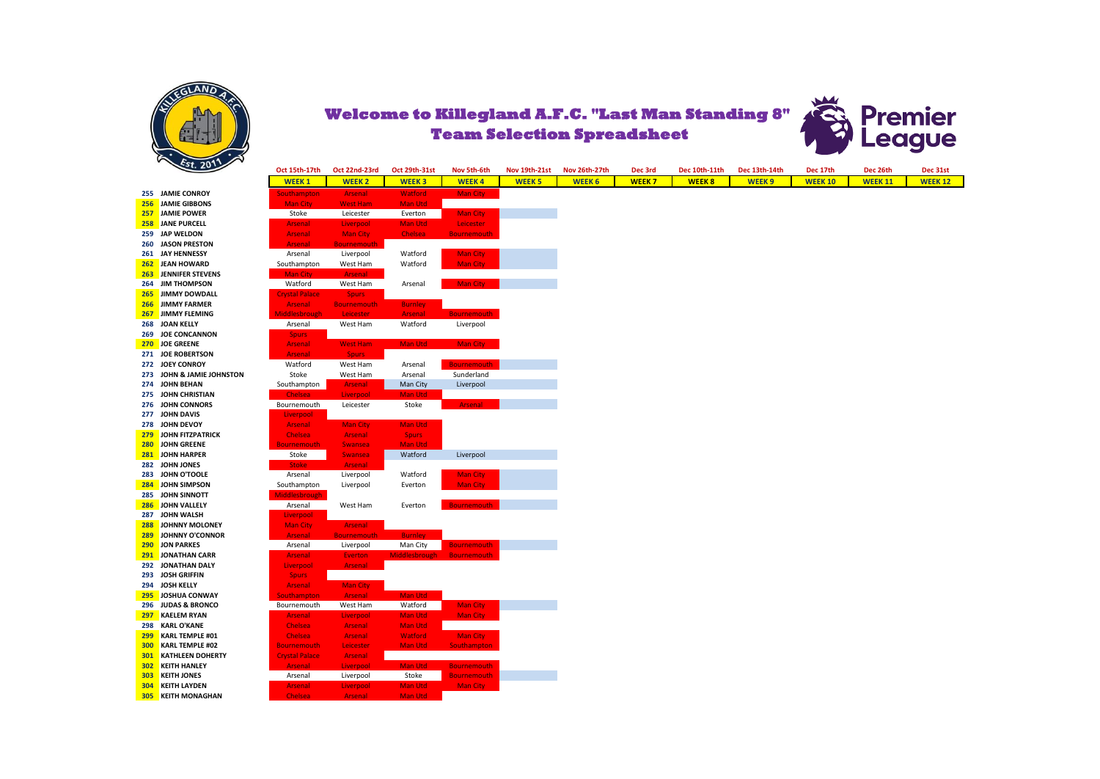



|     | $\mathcal{L}$ $\mathcal{L}$ | Oct 15th-17th         | Oct 22nd-23rd      | Oct 29th-31st        | Nov 5th-6th        | <b>Nov 19th-21st</b> | Nov 26th-27th | Dec 3rd      | Dec 10th-11th | Dec 13th-14th | Dec 17th       | Dec 26th       | Dec 31st       |
|-----|-----------------------------|-----------------------|--------------------|----------------------|--------------------|----------------------|---------------|--------------|---------------|---------------|----------------|----------------|----------------|
|     |                             | <b>WEEK1</b>          | <b>WEEK 2</b>      | <b>WEEK3</b>         | <b>WEEK4</b>       | <b>WEEK 5</b>        | <b>WEEK 6</b> | <b>WEEK7</b> | <b>WEEK8</b>  | <b>WEEK 9</b> | <b>WEEK 10</b> | <b>WEEK 11</b> | <b>WEEK 12</b> |
|     | 255 JAMIE CONROY            | <b>Southampton</b>    | <b>Arsenal</b>     | <b>Watford</b>       | <b>Man City</b>    |                      |               |              |               |               |                |                |                |
|     | 256 JAMIE GIBBONS           | <b>Man City</b>       | <b>West Ham</b>    | Man Utd              |                    |                      |               |              |               |               |                |                |                |
| 257 | <b>JAMIE POWER</b>          | Stoke                 | Leicester          | Everton              | <b>Man City</b>    |                      |               |              |               |               |                |                |                |
|     | 258 JANE PURCELL            | <b>Arsenal</b>        | Liverpool          | Man Utd              | Leicester          |                      |               |              |               |               |                |                |                |
|     | 259 JAP WELDON              | <b>Arsenal</b>        | <b>Man City</b>    | Chelsea              | <b>Bournemouth</b> |                      |               |              |               |               |                |                |                |
|     | 260 JASON PRESTON           | <b>Arsenal</b>        | <b>Bournemouth</b> |                      |                    |                      |               |              |               |               |                |                |                |
|     | 261 JAY HENNESSY            | Arsenal               | Liverpool          | Watford              | <b>Man City</b>    |                      |               |              |               |               |                |                |                |
|     | 262 JEAN HOWARD             | Southampton           | West Ham           | Watford              | <b>Man City</b>    |                      |               |              |               |               |                |                |                |
|     | 263 JENNIFER STEVENS        | <b>Man City</b>       | <b>Arsenal</b>     |                      |                    |                      |               |              |               |               |                |                |                |
|     | 264 JIM THOMPSON            | Watford               | West Ham           | Arsenal              | <b>Man City</b>    |                      |               |              |               |               |                |                |                |
|     | 265 JIMMY DOWDALL           | <b>Crystal Palace</b> | <b>Spurs</b>       |                      |                    |                      |               |              |               |               |                |                |                |
|     | 266 JIMMY FARMER            | <b>Arsenal</b>        | <b>Bournemouth</b> | <b>Burnley</b>       |                    |                      |               |              |               |               |                |                |                |
|     | 267 JIMMY FLEMING           | <b>liddlesbrough</b>  | Leicester          | <b>Arsenal</b>       | <b>Bournemouth</b> |                      |               |              |               |               |                |                |                |
|     | 268 JOAN KELLY              | Arsenal               | West Ham           | Watford              | Liverpool          |                      |               |              |               |               |                |                |                |
|     | 269 JOE CONCANNON           | <b>Spurs</b>          |                    |                      |                    |                      |               |              |               |               |                |                |                |
|     | 270 JOE GREENE              | <b>Arsenal</b>        | <b>West Ham</b>    | Man Utd              | <b>Man City</b>    |                      |               |              |               |               |                |                |                |
|     | 271 JOE ROBERTSON           | <b>Arsenal</b>        | <b>Spurs</b>       |                      |                    |                      |               |              |               |               |                |                |                |
|     | 272 JOEY CONROY             | Watford               | West Ham           | Arsenal              | <b>Bournemouth</b> |                      |               |              |               |               |                |                |                |
|     | 273 JOHN & JAMIE JOHNSTON   | Stoke                 | West Ham           | Arsenal              | Sunderland         |                      |               |              |               |               |                |                |                |
|     | 274 JOHN BEHAN              | Southampton           | <b>Arsenal</b>     | Man City             | Liverpool          |                      |               |              |               |               |                |                |                |
|     | 275 JOHN CHRISTIAN          | <b>Chelsea</b>        | Liverpool          | Man Utd              |                    |                      |               |              |               |               |                |                |                |
|     | 276 JOHN CONNORS            | Bournemouth           | Leicester          | Stoke                | <b>Arsenal</b>     |                      |               |              |               |               |                |                |                |
|     | 277 JOHN DAVIS              | Liverpool             |                    |                      |                    |                      |               |              |               |               |                |                |                |
|     | 278 JOHN DEVOY              | <b>Arsenal</b>        | <b>Man City</b>    | Man Utd              |                    |                      |               |              |               |               |                |                |                |
|     | 279 JOHN FITZPATRICK        | <b>Chelsea</b>        | <b>Arsenal</b>     | <b>Spurs</b>         |                    |                      |               |              |               |               |                |                |                |
|     | 280 JOHN GREENE             | Bournemouth           | <b>Swansea</b>     | Man Utd              |                    |                      |               |              |               |               |                |                |                |
|     | 281 JOHN HARPER             | Stoke                 | <b>Swansea</b>     | Watford              | Liverpool          |                      |               |              |               |               |                |                |                |
|     | 282 JOHN JONES              | <b>Stoke</b>          | <b>Arsenal</b>     |                      |                    |                      |               |              |               |               |                |                |                |
|     | 283 JOHN O'TOOLE            | Arsenal               | Liverpool          | Watford              | <b>Man City</b>    |                      |               |              |               |               |                |                |                |
|     | 284 JOHN SIMPSON            | Southampton           | Liverpool          | Everton              | <b>Man City</b>    |                      |               |              |               |               |                |                |                |
|     | 285 JOHN SINNOTT            | <b>Aiddlesbrough</b>  |                    |                      |                    |                      |               |              |               |               |                |                |                |
|     | 286 JOHN VALLELY            | Arsenal               | West Ham           | Everton              | <b>Bournemouth</b> |                      |               |              |               |               |                |                |                |
|     | 287 JOHN WALSH              | Liverpool             |                    |                      |                    |                      |               |              |               |               |                |                |                |
| 288 | <b>JOHNNY MOLONEY</b>       | <b>Man City</b>       | Arsenal            |                      |                    |                      |               |              |               |               |                |                |                |
|     | 289 JOHNNY O'CONNOR         | <b>Arsenal</b>        | <b>Bournemouth</b> | <b>Burnley</b>       |                    |                      |               |              |               |               |                |                |                |
|     | 290 JON PARKES              | Arsenal               | Liverpool          | Man City             | <b>Bournemouth</b> |                      |               |              |               |               |                |                |                |
|     | 291 JONATHAN CARR           | <b>Arsenal</b>        | Everton            | <b>Middlesbrough</b> | <b>Bournemouth</b> |                      |               |              |               |               |                |                |                |
| 292 | <b>JONATHAN DALY</b>        | Liverpool             | Arsenal            |                      |                    |                      |               |              |               |               |                |                |                |
|     | 293 JOSH GRIFFIN            | <b>Spurs</b>          |                    |                      |                    |                      |               |              |               |               |                |                |                |
|     | 294 JOSH KELLY              | <b>Arsenal</b>        | <b>Man City</b>    |                      |                    |                      |               |              |               |               |                |                |                |
|     | 295 JOSHUA CONWAY           | <b>Southampton</b>    | <b>Arsenal</b>     | Man Utd              |                    |                      |               |              |               |               |                |                |                |
|     | 296 JUDAS & BRONCO          | Bournemouth           | West Ham           | Watford              | <b>Man City</b>    |                      |               |              |               |               |                |                |                |
| 297 | <b>KAELEM RYAN</b>          | <b>Arsenal</b>        | Liverpool          | Man Utd              | <b>Man City</b>    |                      |               |              |               |               |                |                |                |
|     | 298 KARL O'KANE             | Chelsea               | <b>Arsenal</b>     | Man Utd              |                    |                      |               |              |               |               |                |                |                |
| 299 | <b>KARL TEMPLE #01</b>      | <b>Chelsea</b>        | <b>Arsenal</b>     | <b>Watford</b>       | <b>Man City</b>    |                      |               |              |               |               |                |                |                |
| 300 | <b>KARL TEMPLE #02</b>      | <b>Bournemouth</b>    | Leicester          | Man Utd              | Southampton        |                      |               |              |               |               |                |                |                |
| 301 | <b>KATHLEEN DOHERTY</b>     | <b>Crystal Palace</b> | <b>Arsenal</b>     |                      |                    |                      |               |              |               |               |                |                |                |
| 302 | <b>KEITH HANLEY</b>         | <b>Arsenal</b>        | Liverpool          | Man Utd              | <b>Bournemouth</b> |                      |               |              |               |               |                |                |                |
| 303 | <b>KEITH JONES</b>          | Arsenal               | Liverpool          | Stoke                | <b>Bournemouth</b> |                      |               |              |               |               |                |                |                |
| 304 | <b>KEITH LAYDEN</b>         | <b>Arsenal</b>        | Liverpool          | Man Utd              | <b>Man City</b>    |                      |               |              |               |               |                |                |                |
|     | <b>305 KEITH MONAGHAN</b>   | Chelsea               | <b>Arsenal</b>     | Man Utd              |                    |                      |               |              |               |               |                |                |                |
|     |                             |                       |                    |                      |                    |                      |               |              |               |               |                |                |                |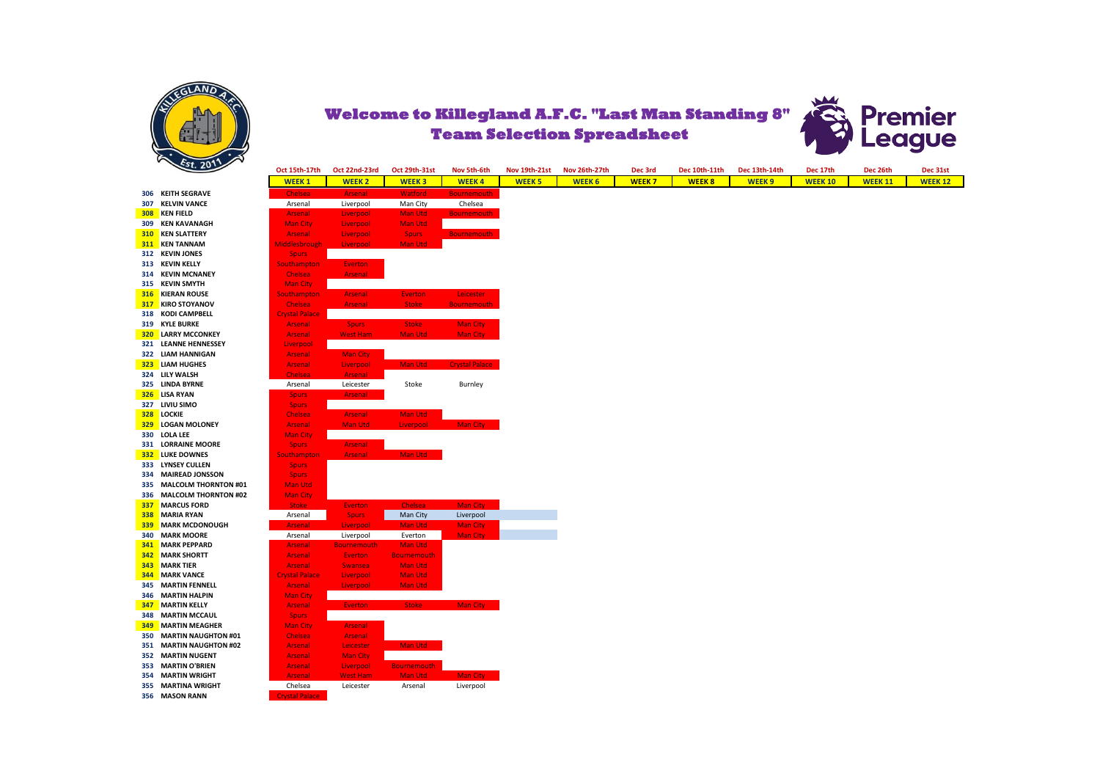



|     |                             | <b>WEEK1</b>          | <b>WEEK2</b>       | <b>WEEK3</b>       | <b>WEEK4</b>        |
|-----|-----------------------------|-----------------------|--------------------|--------------------|---------------------|
| 306 | <b>KEITH SEGRAVE</b>        | Chelsea               | <b>Arsenal</b>     | <b>Watford</b>     | <b>Bournemou</b>    |
| 307 | <b>KELVIN VANCE</b>         | Arsenal               | Liverpool          | Man City           | Chelsea             |
| 308 | <b>KEN FIELD</b>            | <b>Arsenal</b>        | Liverpool          | <b>Man Utd</b>     | <b>Bournemou</b>    |
| 309 | <b>KEN KAVANAGH</b>         | <b>Man City</b>       | Liverpool          | <b>Man Utd</b>     |                     |
| 310 | <b>KEN SLATTERY</b>         | <b>Arsenal</b>        | Liverpool          | <b>Spurs</b>       | <b>Bournemou</b>    |
| 311 | <b>KEN TANNAM</b>           | <b>Middlesbrough</b>  | Liverpool          | <b>Man Utd</b>     |                     |
| 312 | <b>KEVIN JONES</b>          | <b>Spurs</b>          |                    |                    |                     |
| 313 | <b>KEVIN KELLY</b>          | Southampton           | <b>Everton</b>     |                    |                     |
| 314 | <b>KEVIN MCNANEY</b>        | Chelsea               | <b>Arsenal</b>     |                    |                     |
| 315 | <b>KEVIN SMYTH</b>          | <b>Man City</b>       |                    |                    |                     |
| 316 | <b>KIERAN ROUSE</b>         | Southampton           | <b>Arsenal</b>     | <b>Everton</b>     | Leicester           |
| 317 | <b>KIRO STOYANOV</b>        | <b>Chelsea</b>        | <b>Arsenal</b>     | <b>Stoke</b>       | <b>Bournemou</b>    |
| 318 | <b>KODI CAMPBELL</b>        | <b>Crystal Palace</b> |                    |                    |                     |
| 319 | <b>KYLE BURKE</b>           | <b>Arsenal</b>        | <b>Spurs</b>       | <b>Stoke</b>       | <b>Man City</b>     |
| 320 | <b>LARRY MCCONKEY</b>       | <b>Arsenal</b>        | <b>West Ham</b>    | <b>Man Utd</b>     | <b>Man City</b>     |
| 321 | <b>LEANNE HENNESSEY</b>     | Liverpool             |                    |                    |                     |
| 322 | <b>LIAM HANNIGAN</b>        | <b>Arsenal</b>        | <b>Man City</b>    |                    |                     |
| 323 | <b>LIAM HUGHES</b>          | <b>Arsenal</b>        | Liverpool          | <b>Man Utd</b>     | <b>Crystal Pala</b> |
| 324 | LILY WALSH                  | Chelsea               | <b>Arsenal</b>     |                    |                     |
| 325 | <b>LINDA BYRNE</b>          | Arsenal               | Leicester          | Stoke              | Burnley             |
| 326 | <b>LISA RYAN</b>            | <b>Spurs</b>          | <b>Arsenal</b>     |                    |                     |
| 327 | LIVIU SIMO                  | <b>Spurs</b>          |                    |                    |                     |
| 328 | <b>LOCKIE</b>               | <b>Chelsea</b>        | <b>Arsenal</b>     | <b>Man Utd</b>     |                     |
| 329 | <b>LOGAN MOLONEY</b>        | <b>Arsenal</b>        | <b>Man Utd</b>     | Liverpool          | <b>Man City</b>     |
| 330 | <b>LOLA LEE</b>             | <b>Man City</b>       |                    |                    |                     |
| 331 | <b>LORRAINE MOORE</b>       | <b>Spurs</b>          | <b>Arsenal</b>     |                    |                     |
| 332 | <b>LUKE DOWNES</b>          | <b>Southampton</b>    | <b>Arsenal</b>     | <b>Man Utd</b>     |                     |
| 333 | <b>LYNSEY CULLEN</b>        | <b>Spurs</b>          |                    |                    |                     |
| 334 | <b>MAIREAD JONSSON</b>      | <b>Spurs</b>          |                    |                    |                     |
| 335 | <b>MALCOLM THORNTON #01</b> | <b>Man Utd</b>        |                    |                    |                     |
| 336 | <b>MALCOLM THORNTON #02</b> | <b>Man City</b>       |                    |                    |                     |
| 337 | <b>MARCUS FORD</b>          | <b>Stoke</b>          | <b>Everton</b>     | <b>Chelsea</b>     | <b>Man City</b>     |
| 338 | <b>MARIA RYAN</b>           | Arsenal               | <b>Spurs</b>       | Man City           | Liverpool           |
| 339 | <b>MARK MCDONOUGH</b>       | <b>Arsenal</b>        | Liverpool          | <b>Man Utd</b>     | <b>Man City</b>     |
| 340 | <b>MARK MOORE</b>           | Arsenal               | Liverpool          | Everton            | <b>Man City</b>     |
| 341 | <b>MARK PEPPARD</b>         | <b>Arsenal</b>        | <b>Bournemouth</b> | <b>Man Utd</b>     |                     |
| 342 | <b>MARK SHORTT</b>          | <b>Arsenal</b>        | <b>Everton</b>     | <b>Bournemouth</b> |                     |
| 343 | <b>MARK TIER</b>            | <b>Arsenal</b>        | <b>Swansea</b>     | <b>Man Utd</b>     |                     |
| 344 | <b>MARK VANCE</b>           | <b>Crystal Palace</b> | Liverpool          | <b>Man Utd</b>     |                     |
| 345 | <b>MARTIN FENNELL</b>       | <b>Arsenal</b>        | Liverpool          | <b>Man Utd</b>     |                     |
| 346 | <b>MARTIN HALPIN</b>        | <b>Man City</b>       |                    |                    |                     |
| 347 | <b>MARTIN KELLY</b>         | <b>Arsenal</b>        | <b>Everton</b>     | <b>Stoke</b>       | <b>Man City</b>     |
| 348 | <b>MARTIN MCCAUL</b>        | <b>Spurs</b>          |                    |                    |                     |
| 349 | <b>MARTIN MEAGHER</b>       | <b>Man City</b>       | <b>Arsenal</b>     |                    |                     |
| 350 | <b>MARTIN NAUGHTON #01</b>  | Chelsea               | <b>Arsenal</b>     |                    |                     |
| 351 | <b>MARTIN NAUGHTON #02</b>  | <b>Arsenal</b>        | Leicester          | <b>Man Utd</b>     |                     |
| 352 | <b>MARTIN NUGENT</b>        | <b>Arsenal</b>        | <b>Man City</b>    |                    |                     |
| 353 | <b>MARTIN O'BRIEN</b>       | <b>Arsenal</b>        | Liverpool          | <b>Bournemouth</b> |                     |
| 354 | <b>MARTIN WRIGHT</b>        | <b>Arsenal</b>        | <b>West Ham</b>    | <b>Man Utd</b>     | <b>Man City</b>     |
| 355 | <b>MARTINA WRIGHT</b>       | Chelsea               | Leicester          | Arsenal            | Liverpool           |
| 356 | <b>MASON RANN</b>           | <b>Crystal Palace</b> |                    |                    |                     |

|                                              | Oct 15th-17th                  | Oct 22nd-23rd      | Oct 29th-31st      | Nov 5th-6th           | <b>Nov 19th-21st</b> | <b>Nov 26th-27th</b> | Dec 3rd      | Dec 10th-11th | Dec 13th-14th     | Dec 17th       | Dec 26th       | Dec 31st       |
|----------------------------------------------|--------------------------------|--------------------|--------------------|-----------------------|----------------------|----------------------|--------------|---------------|-------------------|----------------|----------------|----------------|
|                                              | <b>WEEK1</b>                   | <b>WEEK 2</b>      | <b>WEEK3</b>       | <b>WEEK4</b>          | <b>WEEK 5</b>        | <b>WEEK 6</b>        | <b>WEEK7</b> | <b>WEEK 8</b> | WEEK <sub>9</sub> | <b>WEEK 10</b> | <b>WEEK 11</b> | <b>WEEK 12</b> |
| 306 KEITH SEGRAVE                            | Chelsea                        | Arsenal            | <b>Watford</b>     | <b>Bournemouth</b>    |                      |                      |              |               |                   |                |                |                |
| 307 KELVIN VANCE                             | Arsenal                        | Liverpool          | Man City           | Chelsea               |                      |                      |              |               |                   |                |                |                |
| 308 KEN FIELD                                | <b>Arsenal</b>                 | Liverpool          | Man Utd            | <b>Bournemouth</b>    |                      |                      |              |               |                   |                |                |                |
| 309 KEN KAVANAGH                             | <b>Man City</b>                | Liverpool          | Man Utd            |                       |                      |                      |              |               |                   |                |                |                |
| <b>310 KEN SLATTERY</b>                      | <b>Arsenal</b>                 | Liverpool          | <b>Spurs</b>       | <b>Bournemouth</b>    |                      |                      |              |               |                   |                |                |                |
| 311 KEN TANNAM                               | Middlesbrough                  | Liverpool          | Man Utd            |                       |                      |                      |              |               |                   |                |                |                |
| 312 KEVIN JONES                              | <b>Spurs</b>                   |                    |                    |                       |                      |                      |              |               |                   |                |                |                |
| 313 KEVIN KELLY                              | <b>Southampton</b>             | <b>Everton</b>     |                    |                       |                      |                      |              |               |                   |                |                |                |
| 314 KEVIN MCNANEY                            | <b>Chelsea</b>                 | <b>Arsenal</b>     |                    |                       |                      |                      |              |               |                   |                |                |                |
| 315 KEVIN SMYTH                              | Man City                       |                    |                    |                       |                      |                      |              |               |                   |                |                |                |
| <b>316 KIERAN ROUSE</b>                      | <b>Southampton</b>             | <b>Arsenal</b>     | <b>Everton</b>     | Leicester             |                      |                      |              |               |                   |                |                |                |
| <b>317 KIRO STOYANOV</b>                     | <b>Chelsea</b>                 | <b>Arsenal</b>     | <b>Stoke</b>       | <b>Bournemouth</b>    |                      |                      |              |               |                   |                |                |                |
| 318 KODI CAMPBELL                            | <b>Crystal Palace</b>          |                    |                    |                       |                      |                      |              |               |                   |                |                |                |
| 319 KYLE BURKE                               | <b>Arsenal</b>                 | <b>Spurs</b>       | <b>Stoke</b>       | Man City              |                      |                      |              |               |                   |                |                |                |
| <b>320 LARRY MCCONKEY</b>                    | Arsenal                        | <b>West Ham</b>    | Man Utd            | Man City              |                      |                      |              |               |                   |                |                |                |
| 321 LEANNE HENNESSEY                         | Liverpool                      |                    |                    |                       |                      |                      |              |               |                   |                |                |                |
| 322 LIAM HANNIGAN                            | <b>Arsenal</b>                 | <b>Man City</b>    |                    |                       |                      |                      |              |               |                   |                |                |                |
| 323 LIAM HUGHES                              | <b>Arsenal</b>                 | Liverpool          | <b>Man Utd</b>     | <b>Crystal Palace</b> |                      |                      |              |               |                   |                |                |                |
| 324 LILY WALSH                               | <b>Chelsea</b>                 | Arsenal            |                    |                       |                      |                      |              |               |                   |                |                |                |
| 325 LINDA BYRNE                              | Arsenal                        | Leicester          | Stoke              | Burnley               |                      |                      |              |               |                   |                |                |                |
| 326 LISA RYAN                                | <b>Spurs</b>                   | Arsenal            |                    |                       |                      |                      |              |               |                   |                |                |                |
| 327 LIVIU SIMO                               |                                |                    |                    |                       |                      |                      |              |               |                   |                |                |                |
| <b>328 LOCKIE</b>                            | <b>Spurs</b><br><b>Chelsea</b> | <b>Arsenal</b>     | Man Utd            |                       |                      |                      |              |               |                   |                |                |                |
| 329 LOGAN MOLONEY                            | <b>Arsenal</b>                 | Man Utd            | Liverpool          | Man City              |                      |                      |              |               |                   |                |                |                |
| 330 LOLA LEE                                 | <b>Man City</b>                |                    |                    |                       |                      |                      |              |               |                   |                |                |                |
|                                              |                                |                    |                    |                       |                      |                      |              |               |                   |                |                |                |
| 331 LORRAINE MOORE<br><b>332 LUKE DOWNES</b> | <b>Spurs</b>                   | <b>Arsenal</b>     |                    |                       |                      |                      |              |               |                   |                |                |                |
|                                              | Southampton                    | <b>Arsenal</b>     | Man Utd            |                       |                      |                      |              |               |                   |                |                |                |
| 333 LYNSEY CULLEN                            | <b>Spurs</b>                   |                    |                    |                       |                      |                      |              |               |                   |                |                |                |
| 334 MAIREAD JONSSON                          | <b>Spurs</b>                   |                    |                    |                       |                      |                      |              |               |                   |                |                |                |
| 335 MALCOLM THORNTON #01                     | <b>Man Utd</b>                 |                    |                    |                       |                      |                      |              |               |                   |                |                |                |
| 336 MALCOLM THORNTON #02                     | <b>Man City</b>                |                    |                    |                       |                      |                      |              |               |                   |                |                |                |
| <b>337 MARCUS FORD</b>                       | <b>Stoke</b>                   | <b>Everton</b>     | <b>Chelsea</b>     | Man City              |                      |                      |              |               |                   |                |                |                |
| 338 MARIA RYAN                               | Arsenal                        | <b>Spurs</b>       | Man City           | Liverpool             |                      |                      |              |               |                   |                |                |                |
| <b>339 MARK MCDONOUGH</b>                    | <b>Arsenal</b>                 | Liverpool          | Man Utd            | <b>Man City</b>       |                      |                      |              |               |                   |                |                |                |
| 340 MARK MOORE                               | Arsenal                        | Liverpool          | Everton            | <b>Man City</b>       |                      |                      |              |               |                   |                |                |                |
| <b>341 MARK PEPPARD</b>                      | <b>Arsenal</b>                 | <b>Bournemouth</b> | Man Utd            |                       |                      |                      |              |               |                   |                |                |                |
| <b>342</b> MARK SHORTT                       | <b>Arsenal</b>                 | <b>Everton</b>     | <b>Bournemouth</b> |                       |                      |                      |              |               |                   |                |                |                |
| <b>343 MARK TIER</b>                         | <b>Arsenal</b>                 | Swansea            | <b>Man Utd</b>     |                       |                      |                      |              |               |                   |                |                |                |
| <b>344 MARK VANCE</b>                        | <b>Crystal Palace</b>          | Liverpool          | Man Utd            |                       |                      |                      |              |               |                   |                |                |                |
| 345 MARTIN FENNELL                           | <b>Arsenal</b>                 | Liverpool          | Man Utd            |                       |                      |                      |              |               |                   |                |                |                |
| 346 MARTIN HALPIN                            | <b>Man City</b>                |                    |                    |                       |                      |                      |              |               |                   |                |                |                |
| <b>347 MARTIN KELLY</b>                      | <b>Arsenal</b>                 | <b>Everton</b>     | <b>Stoke</b>       | Man City              |                      |                      |              |               |                   |                |                |                |
| <b>348 MARTIN MCCAUL</b>                     | <b>Spurs</b>                   |                    |                    |                       |                      |                      |              |               |                   |                |                |                |
| <b>349 MARTIN MEAGHER</b>                    | <b>Man City</b>                | <b>Arsenal</b>     |                    |                       |                      |                      |              |               |                   |                |                |                |
| 350 MARTIN NAUGHTON #01                      | <b>Chelsea</b>                 | Arsenal            |                    |                       |                      |                      |              |               |                   |                |                |                |
| 351 MARTIN NAUGHTON #02                      | <b>Arsenal</b>                 | Leicester          | Man Utd            |                       |                      |                      |              |               |                   |                |                |                |
| 352 MARTIN NUGENT                            | <b>Arsenal</b>                 | <b>Man City</b>    |                    |                       |                      |                      |              |               |                   |                |                |                |
| 353 MARTIN O'BRIEN                           | <b>Arsenal</b>                 | Liverpool          | <b>Bournemouth</b> |                       |                      |                      |              |               |                   |                |                |                |
| 354 MARTIN WRIGHT                            | <b>Arsenal</b>                 | <b>West Ham</b>    | Man Utd            | Man City              |                      |                      |              |               |                   |                |                |                |
| 355 MARTINA WRIGHT                           | Chelsea                        | Leicester          | Arsenal            | Liverpool             |                      |                      |              |               |                   |                |                |                |
| 356 MASON RANN                               | <b>Crystal Palace</b>          |                    |                    |                       |                      |                      |              |               |                   |                |                |                |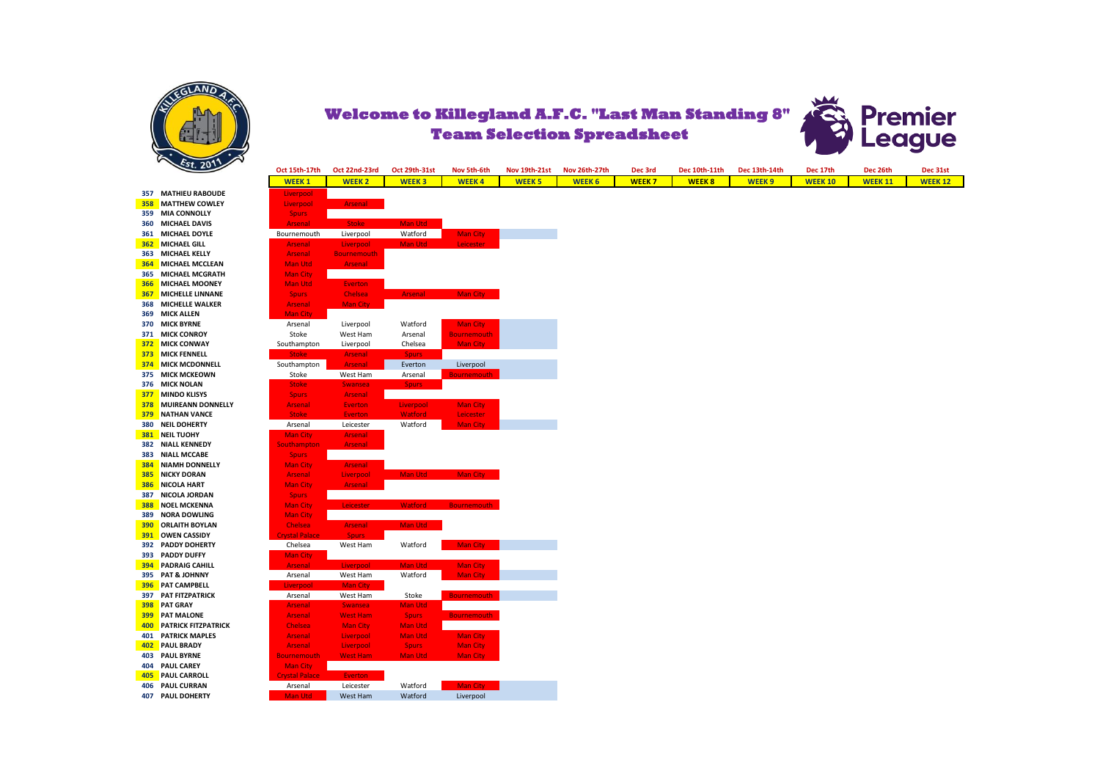



**357 MATHIEU RABOUDE 358 MATTHEW COWLEY 359 MIA CONNOLLY 360 MICHAEL DAVIS 361 MICHAEL DOYLE 362 MICHAEL GILL 363 MICHAEL KELLY 364 MICHAEL MCCLEAN 365 MICHAEL MCGRATH 366** MICHAEL MOONEY **367** MICHELLE LINNANE **368 MICHELLE WALKER 369 MICK ALLEN 370 MICK BYRNE 371 MICK CONROY 372 MICK CONWAY 373 MICK FENNELL 374 MICK MCDONNELL 375 MICK MCKEOWN 376 MICK NOLAN 377 MINDO KLISYS 378 MUIREANN DONNELLY 379 NATHAN VANCE 380 NEIL DOHERTY 381 NEIL TUOHY 382 NIALL KENNEDY 383 NIALL MCCABE 384 NIAMH DONNELLY 385** NICKY DORAN **386** NICOLA HART **387 NICOLA JORDAN 388 NOEL MCKENNA 389 NORA DOWLING 390 ORLAITH BOYLAN 391 OWEN CASSIDY 392 PADDY DOHERTY 393 PADDY DUFFY 394 PADRAIG CAHILL 395 PAT & JOHNNY 396 PAT CAMPBELL 397 PAT FITZPATRICK 398 PAT GRAY 399 PAT MALONE 400** PATRICK FITZPATRICK **401 PATRICK MAPLES 402** PAUL BRADY **403** PAUL BYRNE **404 PAUL CAREY 405 PAUL CARROLL 406** PAUL CURRAN **407 PAUL DOHERTY** 

| Oct 15th-17th                    | Oct 22nd-23rd                    | Oct 29th-31st                  | Nov 5th-6th                        | Nov 19th-21st | Nov 26th-27th | Dec 3rd      | Dec 10th-11th | Dec 13th-14th | Dec 17th       | Dec 26th       |
|----------------------------------|----------------------------------|--------------------------------|------------------------------------|---------------|---------------|--------------|---------------|---------------|----------------|----------------|
| <b>WEEK1</b>                     | <b>WEEK 2</b>                    | <b>WEEK3</b>                   | <b>WEEK4</b>                       | <b>WEEK 5</b> | <b>WEEK 6</b> | <b>WEEK7</b> | <b>WEEK8</b>  | <b>WEEK9</b>  | <b>WEEK 10</b> | <b>WEEK 11</b> |
| Liverpool                        |                                  |                                |                                    |               |               |              |               |               |                |                |
| Liverpool                        | Arsenal                          |                                |                                    |               |               |              |               |               |                |                |
| <b>Spurs</b>                     |                                  |                                |                                    |               |               |              |               |               |                |                |
| <b>Arsenal</b>                   | <b>Stoke</b>                     | Man Utd                        |                                    |               |               |              |               |               |                |                |
| Bournemouth                      | Liverpool                        | Watford                        | <b>Man City</b>                    |               |               |              |               |               |                |                |
| <b>Arsenal</b><br>Arsenal        | Liverpool<br><b>Bournemouth</b>  | <b>Man Utd</b>                 | <b>Leicester</b>                   |               |               |              |               |               |                |                |
| Man Utd                          | <b>Arsenal</b>                   |                                |                                    |               |               |              |               |               |                |                |
| <b>Man City</b>                  |                                  |                                |                                    |               |               |              |               |               |                |                |
| Man Utd                          | <b>Everton</b>                   |                                |                                    |               |               |              |               |               |                |                |
| <b>Spurs</b>                     | Chelsea                          | <b>Arsenal</b>                 | Man City                           |               |               |              |               |               |                |                |
| Arsenal                          | <b>Man City</b>                  |                                |                                    |               |               |              |               |               |                |                |
| <b>Man City</b>                  |                                  |                                |                                    |               |               |              |               |               |                |                |
| Arsenal                          | Liverpool                        | Watford                        | <b>Man City</b>                    |               |               |              |               |               |                |                |
| Stoke                            | West Ham                         | Arsenal                        | <b>Bournemouth</b>                 |               |               |              |               |               |                |                |
| Southampton<br><b>Stoke</b>      | Liverpool<br><b>Arsenal</b>      | Chelsea<br><b>Spurs</b>        | <b>Man City</b>                    |               |               |              |               |               |                |                |
| Southampton                      | <b>Arsenal</b>                   | Everton                        | Liverpool                          |               |               |              |               |               |                |                |
| Stoke                            | West Ham                         | Arsenal                        | <b>Bournemouth</b>                 |               |               |              |               |               |                |                |
| <b>Stoke</b>                     | <b>Swansea</b>                   | <b>Spurs</b>                   |                                    |               |               |              |               |               |                |                |
| <b>Spurs</b>                     | <b>Arsenal</b>                   |                                |                                    |               |               |              |               |               |                |                |
| <b>Arsenal</b>                   | Everton                          | Liverpool                      | <b>Man City</b>                    |               |               |              |               |               |                |                |
| <b>Stoke</b>                     | Everton                          | <b>Watford</b>                 | Leicester                          |               |               |              |               |               |                |                |
| Arsenal                          | Leicester                        | Watford                        | <b>Man City</b>                    |               |               |              |               |               |                |                |
| <b>Man City</b><br>Southampton   | <b>Arsenal</b><br><b>Arsenal</b> |                                |                                    |               |               |              |               |               |                |                |
| <b>Spurs</b>                     |                                  |                                |                                    |               |               |              |               |               |                |                |
| <b>Man City</b>                  | <b>Arsenal</b>                   |                                |                                    |               |               |              |               |               |                |                |
| Arsenal                          | Liverpool                        | Man Utd                        | Man City                           |               |               |              |               |               |                |                |
| <b>Man City</b>                  | <b>Arsenal</b>                   |                                |                                    |               |               |              |               |               |                |                |
| <b>Spurs</b>                     |                                  |                                |                                    |               |               |              |               |               |                |                |
| <b>Man City</b>                  | <b>Leicester</b>                 | <b>Watford</b>                 | <b>Bournemouth</b>                 |               |               |              |               |               |                |                |
| <b>Man City</b>                  |                                  |                                |                                    |               |               |              |               |               |                |                |
| Chelsea<br><b>Crystal Palace</b> | <b>Arsenal</b><br><b>Spurs</b>   | Man Utd                        |                                    |               |               |              |               |               |                |                |
| Chelsea                          | West Ham                         | Watford                        | <b>Man City</b>                    |               |               |              |               |               |                |                |
| <b>Man City</b>                  |                                  |                                |                                    |               |               |              |               |               |                |                |
| Arsenal                          | Liverpool                        | Man Utd                        | <b>Man City</b>                    |               |               |              |               |               |                |                |
| Arsenal                          | West Ham                         | Watford                        | <b>Man City</b>                    |               |               |              |               |               |                |                |
| Liverpool                        | Man City                         |                                |                                    |               |               |              |               |               |                |                |
| Arsenal                          | West Ham                         | Stoke                          | <b>Bournemouth</b>                 |               |               |              |               |               |                |                |
| <b>Arsenal</b>                   | <b>Swansea</b>                   | <b>Man Utd</b>                 |                                    |               |               |              |               |               |                |                |
| Arsenal                          | <b>West Ham</b>                  | <b>Spurs</b>                   | <b>Bournemouth</b>                 |               |               |              |               |               |                |                |
| Chelsea                          | <b>Man City</b>                  | <b>Man Utd</b>                 |                                    |               |               |              |               |               |                |                |
| Arsenal<br>Arsenal               | Liverpool                        | <b>Man Utd</b>                 | <b>Man City</b>                    |               |               |              |               |               |                |                |
| <b>Bournemouth</b>               | Liverpool<br><b>West Ham</b>     | <b>Spurs</b><br><b>Man Utd</b> | <b>Man City</b><br><b>Man City</b> |               |               |              |               |               |                |                |
| <b>Man City</b>                  |                                  |                                |                                    |               |               |              |               |               |                |                |
| <b>Crystal Palace</b>            | <b>Everton</b>                   |                                |                                    |               |               |              |               |               |                |                |
| Arsenal                          | Leicester                        | Watford                        | Man City                           |               |               |              |               |               |                |                |
| Man Utd                          | West Ham                         | Watford                        | Liverpool                          |               |               |              |               |               |                |                |
|                                  |                                  |                                |                                    |               |               |              |               |               |                |                |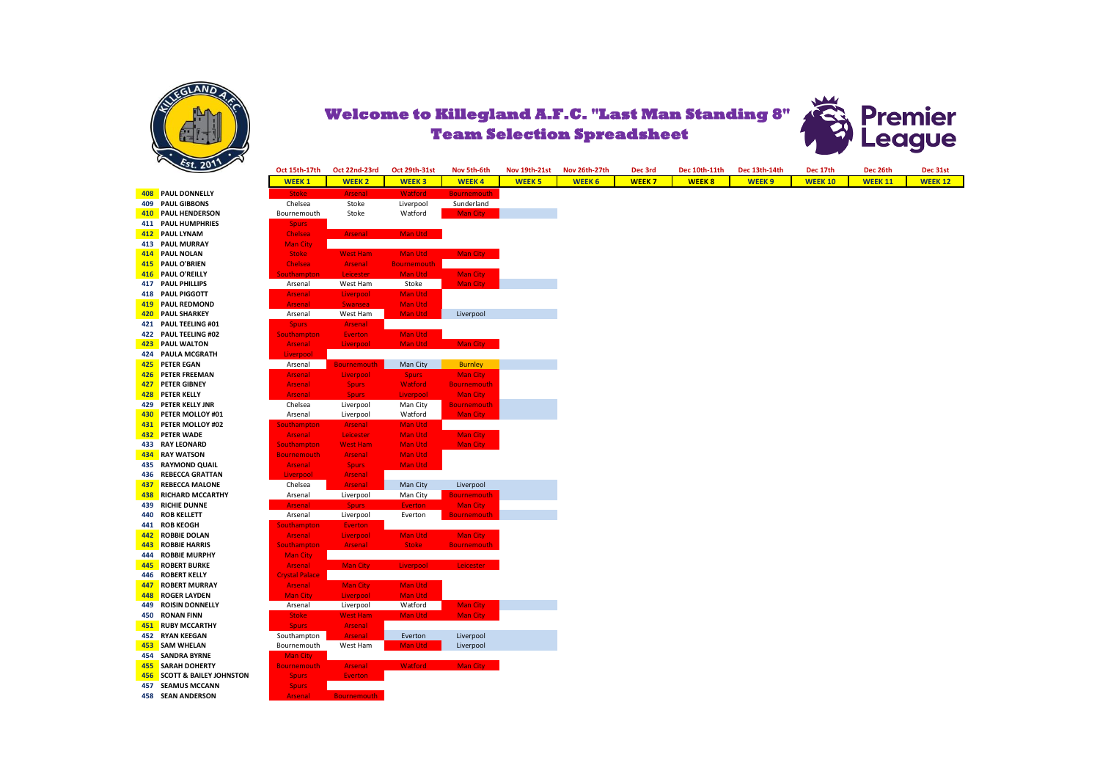



 PAUL DONNELLY PAUL GIBBONS PAUL HENDERSON **PAUL HUMPHRIES PAUL LYNAM 413 PAUL MURRAY PAUL NOLAN PAUL O'BRIEN**  PAUL O'REILLY PAUL PHILLIPS **418 PAUL PIGGOTT PAUL REDMOND**  PAUL SHARKEY **421 PAUL TEELING #01 422 PAUL TEELING #02 PAUL WALTON PAULA MCGRATH PETER EGAN PETER FREEMAN PETER GIBNEY PETER KELLY PETER KELLY JNR 430 PETER MOLLOY #01 431 PETER MOLLOY #02 432 PETER WADE 433 RAY LEONARD 434 RAY WATSON 435 RAYMOND QUAIL 436 REBECCA GRATTAN REBECCA MALONE**  RICHARD MCCARTHY **439 RICHIE DUNNE 440 ROB KELLETT 441 ROB KEOGH**  ROBBIE DOLAN **ROBBIE HARRIS 444 ROBBIE MURPHY**  ROBERT BURKE ROBERT KELLY **ROBERT MURRAY**  ROGER LAYDEN ROISIN DONNELLY **450 RONAN FINN 451 RUBY MCCARTHY 452 RYAN KEEGAN**  SAM WHELAN **454 SANDRA BYRNE**  SARAH DOHERTY SCOTT & BAILEY JOHNSTON **SEAMUS MCCANN 458 SEAN ANDERSON** 

| Oct 15th-17th         | Oct 22nd-23rd             | Oct 29th-31st      | Nov 5th-6th        | Nov 19th-21st | Nov 26th-27th | Dec 3rd      | Dec 10th-11th | Dec 13th-14th | Dec 17th       | Dec 26th       | Dec 31st      |
|-----------------------|---------------------------|--------------------|--------------------|---------------|---------------|--------------|---------------|---------------|----------------|----------------|---------------|
| <b>WEEK1</b>          | <b>WEEK2</b>              | <b>WEEK3</b>       | <b>WEEK4</b>       | <b>WEEK 5</b> | <b>WEEK 6</b> | <b>WEEK7</b> | <b>WEEK8</b>  | <b>WEEK9</b>  | <b>WEEK 10</b> | <b>WEEK 11</b> | <b>WEEK12</b> |
| <b>Stoke</b>          | <b>Arsenal</b>            | Watford            | <b>Bournemouth</b> |               |               |              |               |               |                |                |               |
| Chelsea               | Stoke                     | Liverpool          | Sunderland         |               |               |              |               |               |                |                |               |
| Bournemouth           | Stoke                     | Watford            | <b>Man City</b>    |               |               |              |               |               |                |                |               |
| <b>Spurs</b>          |                           |                    |                    |               |               |              |               |               |                |                |               |
| Chelsea               | <b>Arsenal</b>            | Man Utd            |                    |               |               |              |               |               |                |                |               |
| <b>Man City</b>       |                           |                    |                    |               |               |              |               |               |                |                |               |
| <b>Stoke</b>          | <b>West Ham</b>           | Man Utd            | Man City           |               |               |              |               |               |                |                |               |
| Chelsea               | Arsenal                   | <b>Bournemouth</b> |                    |               |               |              |               |               |                |                |               |
| <b>Southampton</b>    | Leicester                 | Man Utd            | <b>Man City</b>    |               |               |              |               |               |                |                |               |
| Arsenal               | West Ham                  | Stoke              | <b>Man City</b>    |               |               |              |               |               |                |                |               |
| <b>Arsenal</b>        | Liverpool                 | Man Utd            |                    |               |               |              |               |               |                |                |               |
| <b>Arsenal</b>        | <b>Swansea</b>            | Man Utd            |                    |               |               |              |               |               |                |                |               |
| Arsenal               | West Ham                  | Man Utd            | Liverpool          |               |               |              |               |               |                |                |               |
| <b>Spurs</b>          | <b>Arsenal</b>            |                    |                    |               |               |              |               |               |                |                |               |
| <b>Southampton</b>    | Everton                   | Man Utd            |                    |               |               |              |               |               |                |                |               |
| <b>Arsenal</b>        | Liverpool                 | Man Utd            | Man City           |               |               |              |               |               |                |                |               |
| Liverpool             |                           |                    |                    |               |               |              |               |               |                |                |               |
| Arsenal               | <b>Bournemouth</b>        | Man City           | <b>Burnley</b>     |               |               |              |               |               |                |                |               |
| <b>Arsenal</b>        | Liverpool                 | <b>Spurs</b>       | <b>Man City</b>    |               |               |              |               |               |                |                |               |
| <b>Arsenal</b>        | <b>Spurs</b>              | Watford            | <b>Bournemouth</b> |               |               |              |               |               |                |                |               |
| <b>Arsenal</b>        | <b>Spurs</b>              | Liverpool          | <b>Man City</b>    |               |               |              |               |               |                |                |               |
| Chelsea               | Liverpool                 | Man City           | <b>Bournemouth</b> |               |               |              |               |               |                |                |               |
| Arsenal               | Liverpool                 | Watford            | <b>Man City</b>    |               |               |              |               |               |                |                |               |
| <b>Southampton</b>    | <b>Arsenal</b>            | <b>Man Utd</b>     |                    |               |               |              |               |               |                |                |               |
| <b>Arsenal</b>        | Leicester                 | <b>Man Utd</b>     | Man City           |               |               |              |               |               |                |                |               |
| <b>Southampton</b>    | <b>West Ham</b>           | Man Utd            | <b>Man City</b>    |               |               |              |               |               |                |                |               |
| <b>Bournemouth</b>    | <b>Arsenal</b>            | Man Utd            |                    |               |               |              |               |               |                |                |               |
| <b>Arsenal</b>        | <b>Spurs</b>              | Man Utd            |                    |               |               |              |               |               |                |                |               |
| Liverpool             | Arsenal<br><b>Arsenal</b> | Man City           | Liverpool          |               |               |              |               |               |                |                |               |
| Chelsea<br>Arsenal    | Liverpool                 | Man City           | <b>Bournemouth</b> |               |               |              |               |               |                |                |               |
| <b>Arsenal</b>        | <b>Spurs</b>              | <b>Everton</b>     | <b>Man City</b>    |               |               |              |               |               |                |                |               |
| Arsenal               | Liverpool                 | Everton            | <b>Bournemouth</b> |               |               |              |               |               |                |                |               |
| <b>Southampton</b>    | Everton                   |                    |                    |               |               |              |               |               |                |                |               |
| Arsenal               | Liverpool                 | Man Utd            | <b>Man City</b>    |               |               |              |               |               |                |                |               |
| <b>Southampton</b>    | <b>Arsenal</b>            | <b>Stoke</b>       | <b>Bournemouth</b> |               |               |              |               |               |                |                |               |
| <b>Man City</b>       |                           |                    |                    |               |               |              |               |               |                |                |               |
| <b>Arsenal</b>        | <b>Man City</b>           | Liverpool          | Leicester          |               |               |              |               |               |                |                |               |
| <b>Crystal Palace</b> |                           |                    |                    |               |               |              |               |               |                |                |               |
| <b>Arsenal</b>        | <b>Man City</b>           | Man Utd            |                    |               |               |              |               |               |                |                |               |
| <b>Man City</b>       | Liverpool                 | <b>Man Utd</b>     |                    |               |               |              |               |               |                |                |               |
| Arsenal               | Liverpool                 | Watford            | Man City           |               |               |              |               |               |                |                |               |
| <b>Stoke</b>          | <b>West Ham</b>           | <b>Man Utd</b>     | <b>Man City</b>    |               |               |              |               |               |                |                |               |
| <b>Spurs</b>          | <b>Arsenal</b>            |                    |                    |               |               |              |               |               |                |                |               |
| Southampton           | <b>Arsenal</b>            | Everton            | Liverpool          |               |               |              |               |               |                |                |               |
| Bournemouth           | West Ham                  | Man Utd            | Liverpool          |               |               |              |               |               |                |                |               |
| <b>Man City</b>       |                           |                    |                    |               |               |              |               |               |                |                |               |
| <b>Bournemouth</b>    | Arsenal                   | <b>Watford</b>     | <b>Man City</b>    |               |               |              |               |               |                |                |               |
| <b>Spurs</b>          | Everton                   |                    |                    |               |               |              |               |               |                |                |               |
| <b>Spurs</b>          |                           |                    |                    |               |               |              |               |               |                |                |               |
| <b>Arsenal</b>        | <b>Bournemouth</b>        |                    |                    |               |               |              |               |               |                |                |               |
|                       |                           |                    |                    |               |               |              |               |               |                |                |               |